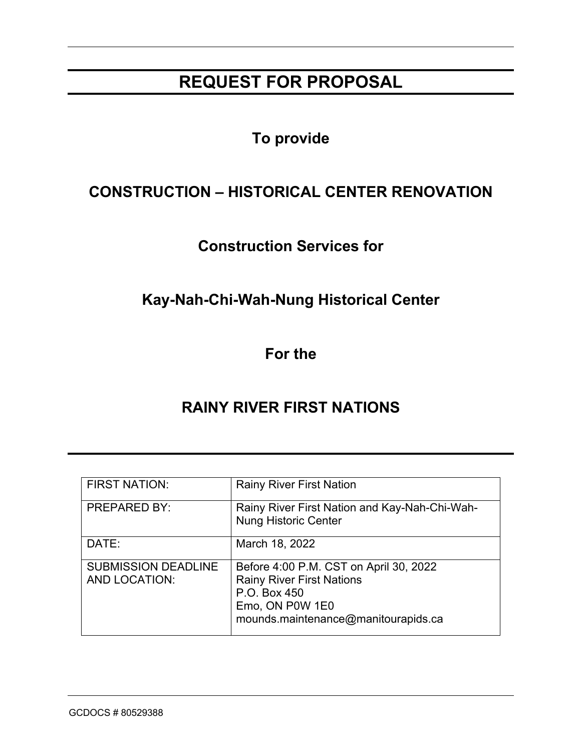# **REQUEST FOR PROPOSAL**

# **To provide**

# **CONSTRUCTION – HISTORICAL CENTER RENOVATION**

# **Construction Services for**

# **Kay-Nah-Chi-Wah-Nung Historical Center**

**For the**

# **RAINY RIVER FIRST NATIONS**

| <b>FIRST NATION:</b>                               | <b>Rainy River First Nation</b>                                                                                                                      |
|----------------------------------------------------|------------------------------------------------------------------------------------------------------------------------------------------------------|
| <b>PREPARED BY:</b>                                | Rainy River First Nation and Kay-Nah-Chi-Wah-<br><b>Nung Historic Center</b>                                                                         |
| DATE:                                              | March 18, 2022                                                                                                                                       |
| <b>SUBMISSION DEADLINE</b><br><b>AND LOCATION:</b> | Before 4:00 P.M. CST on April 30, 2022<br><b>Rainy River First Nations</b><br>P.O. Box 450<br>Emo, ON P0W 1E0<br>mounds.maintenance@manitourapids.ca |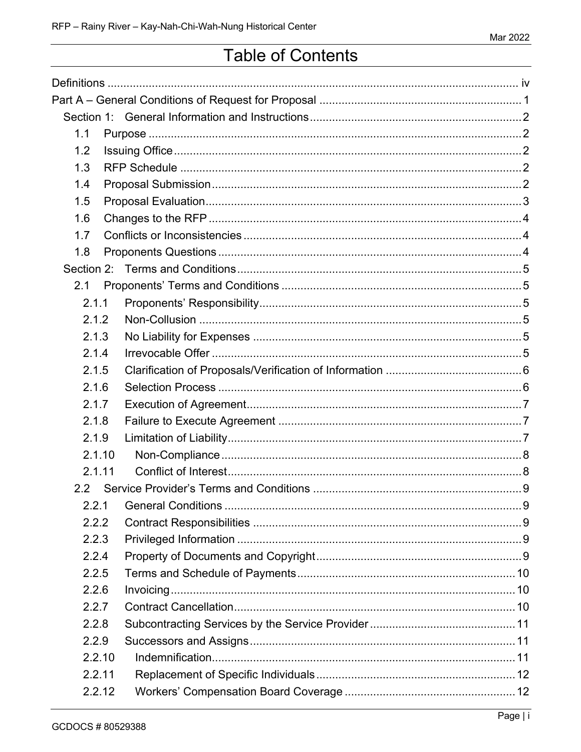# **Table of Contents**

| 1.1              |  |
|------------------|--|
| 1.2              |  |
| 1.3              |  |
| 1.4              |  |
| 1.5              |  |
| 1.6              |  |
| 1.7              |  |
| 1.8              |  |
|                  |  |
| 2.1              |  |
| 2.1.1            |  |
| 2.1.2            |  |
| 2.1.3            |  |
| 2.1.4            |  |
| 2.1.5            |  |
| 2.1.6            |  |
| 2.1.7            |  |
| 2.1.8            |  |
| 2.1.9            |  |
| 2.1.10           |  |
| 2.1.11           |  |
| 2.2 <sub>2</sub> |  |
| 2.2.1            |  |
| 2.2.2            |  |
| 2.2.3            |  |
| 2.2.4            |  |
| 2.2.5            |  |
| 2.2.6            |  |
| 2.2.7            |  |
| 2.2.8            |  |
| 2.2.9            |  |
| 2.2.10           |  |
| 2.2.11           |  |
| 2.2.12           |  |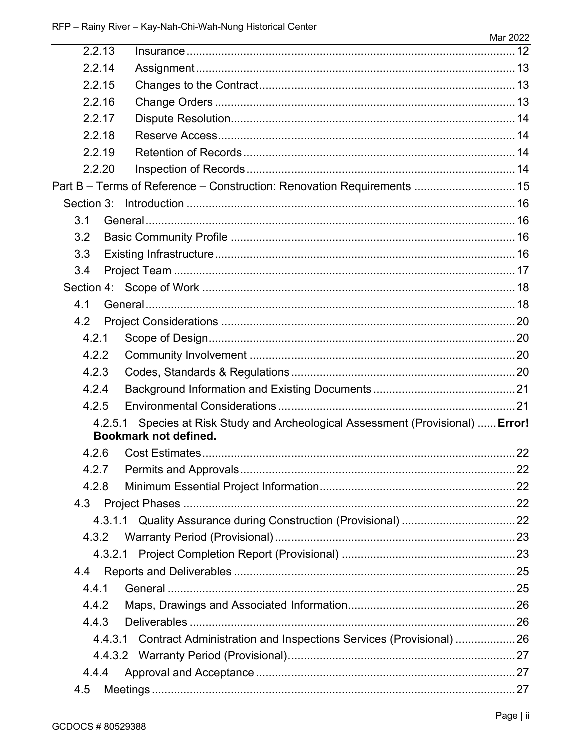| 2.2.13        |                                                                                                          |  |
|---------------|----------------------------------------------------------------------------------------------------------|--|
| 2.2.14        |                                                                                                          |  |
| 2.2.15        |                                                                                                          |  |
| 2.2.16        |                                                                                                          |  |
| 2.2.17        |                                                                                                          |  |
| 2.2.18        |                                                                                                          |  |
| 2.2.19        |                                                                                                          |  |
| 2.2.20        |                                                                                                          |  |
|               | Part B - Terms of Reference - Construction: Renovation Requirements  15                                  |  |
|               |                                                                                                          |  |
| 3.1           |                                                                                                          |  |
| 3.2           |                                                                                                          |  |
| 3.3           |                                                                                                          |  |
| 3.4           |                                                                                                          |  |
|               |                                                                                                          |  |
| 4.1           |                                                                                                          |  |
| 4.2           |                                                                                                          |  |
| 4.2.1         |                                                                                                          |  |
| 4.2.2         |                                                                                                          |  |
| 4.2.3         |                                                                                                          |  |
| 4.2.4         |                                                                                                          |  |
| 4.2.5         |                                                                                                          |  |
| 4.2.5.1       | Species at Risk Study and Archeological Assessment (Provisional)  Error!<br><b>Bookmark not defined.</b> |  |
| 4.2.6         |                                                                                                          |  |
| 4.2.7         |                                                                                                          |  |
| 4.2.8         |                                                                                                          |  |
| 4.3           |                                                                                                          |  |
|               |                                                                                                          |  |
|               |                                                                                                          |  |
| 4.3.2.1       |                                                                                                          |  |
| $4.4^{\circ}$ |                                                                                                          |  |
| 4.4.1         |                                                                                                          |  |
| 4.4.2         |                                                                                                          |  |
| 4.4.3         |                                                                                                          |  |
|               | 4.4.3.1 Contract Administration and Inspections Services (Provisional) 26                                |  |
|               |                                                                                                          |  |
|               |                                                                                                          |  |
| 4.4.4         |                                                                                                          |  |
| 4.5           |                                                                                                          |  |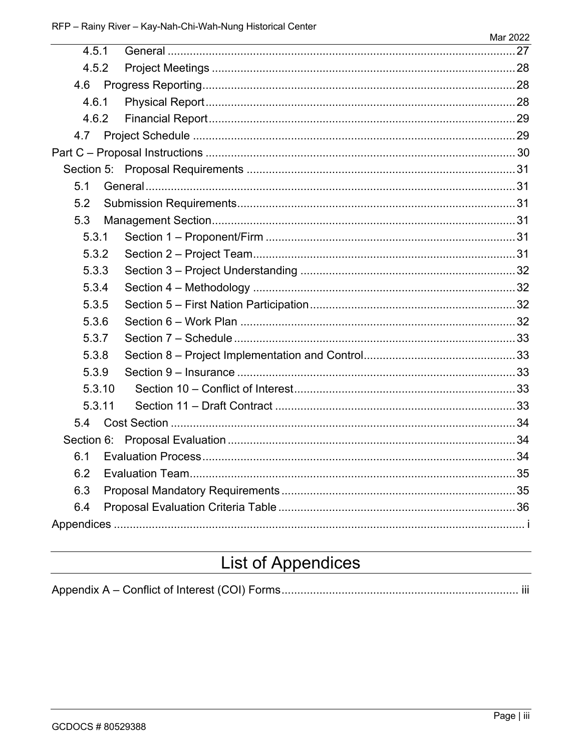| 4.5.1  |  |
|--------|--|
| 4.5.2  |  |
|        |  |
| 4.6.1  |  |
| 4.6.2  |  |
| 4.7    |  |
|        |  |
|        |  |
| 5.1    |  |
| 5.2    |  |
| 5.3    |  |
| 5.3.1  |  |
| 5.3.2  |  |
| 5.3.3  |  |
| 5.3.4  |  |
| 5.3.5  |  |
| 5.3.6  |  |
| 5.3.7  |  |
| 5.3.8  |  |
| 5.3.9  |  |
| 5.3.10 |  |
| 5.3.11 |  |
| 5.4    |  |
|        |  |
| 6.1    |  |
| 6.2    |  |
| 6.3    |  |
| 6.4    |  |
|        |  |

# **List of Appendices**

|--|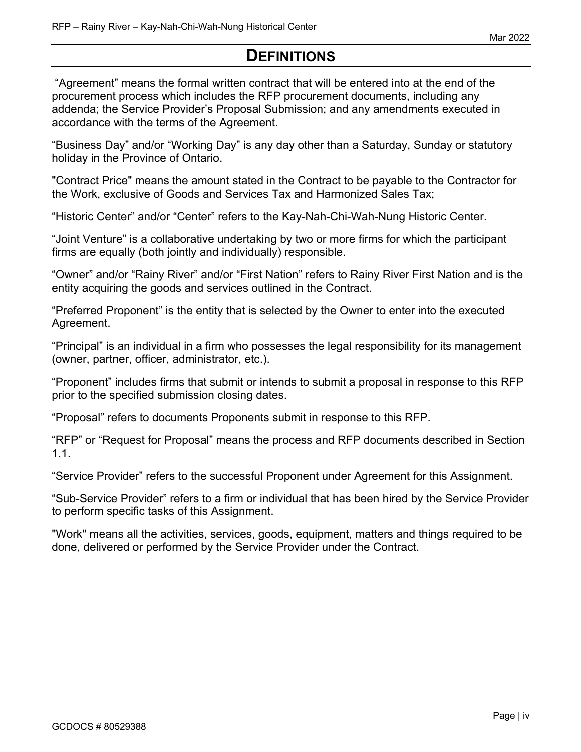# **DEFINITIONS**

"Agreement" means the formal written contract that will be entered into at the end of the procurement process which includes the RFP procurement documents, including any addenda; the Service Provider's Proposal Submission; and any amendments executed in accordance with the terms of the Agreement.

"Business Day" and/or "Working Day" is any day other than a Saturday, Sunday or statutory holiday in the Province of Ontario.

"Contract Price" means the amount stated in the Contract to be payable to the Contractor for the Work, exclusive of Goods and Services Tax and Harmonized Sales Tax;

"Historic Center" and/or "Center" refers to the Kay-Nah-Chi-Wah-Nung Historic Center.

"Joint Venture" is a collaborative undertaking by two or more firms for which the participant firms are equally (both jointly and individually) responsible.

"Owner" and/or "Rainy River" and/or "First Nation" refers to Rainy River First Nation and is the entity acquiring the goods and services outlined in the Contract.

"Preferred Proponent" is the entity that is selected by the Owner to enter into the executed Agreement.

"Principal" is an individual in a firm who possesses the legal responsibility for its management (owner, partner, officer, administrator, etc.).

"Proponent" includes firms that submit or intends to submit a proposal in response to this RFP prior to the specified submission closing dates.

"Proposal" refers to documents Proponents submit in response to this RFP.

"RFP" or "Request for Proposal" means the process and RFP documents described in Section 1.1.

"Service Provider" refers to the successful Proponent under Agreement for this Assignment.

"Sub-Service Provider" refers to a firm or individual that has been hired by the Service Provider to perform specific tasks of this Assignment.

"Work" means all the activities, services, goods, equipment, matters and things required to be done, delivered or performed by the Service Provider under the Contract.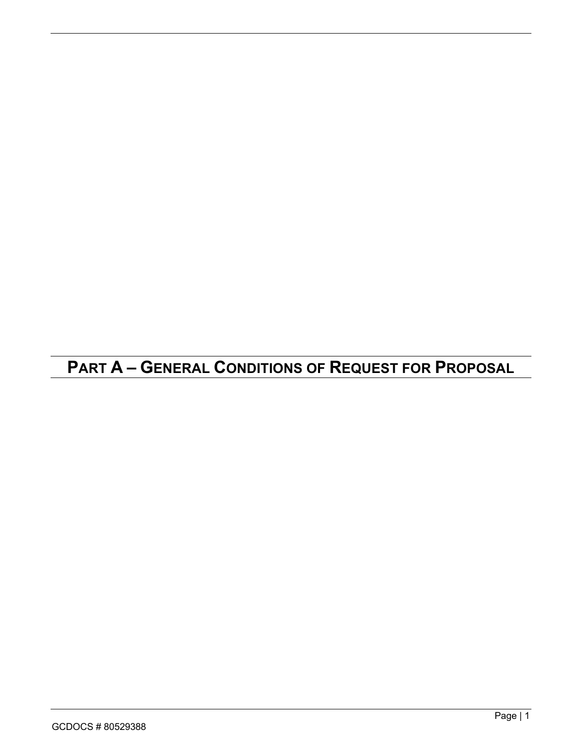# **PART A – GENERAL CONDITIONS OF REQUEST FOR PROPOSAL**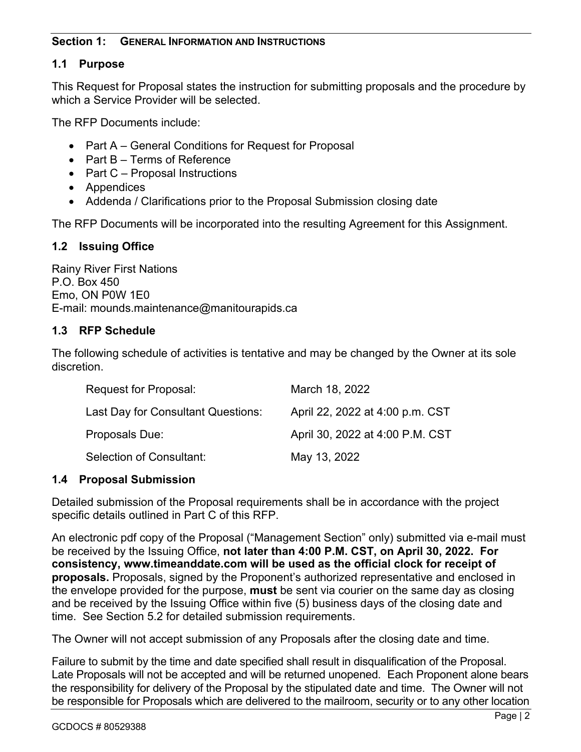#### **Section 1: GENERAL INFORMATION AND INSTRUCTIONS**

#### **1.1 Purpose**

This Request for Proposal states the instruction for submitting proposals and the procedure by which a Service Provider will be selected.

The RFP Documents include:

- Part A General Conditions for Request for Proposal
- Part B Terms of Reference
- Part C Proposal Instructions
- Appendices
- Addenda / Clarifications prior to the Proposal Submission closing date

The RFP Documents will be incorporated into the resulting Agreement for this Assignment.

#### **1.2 Issuing Office**

Rainy River First Nations P.O. Box 450 Emo, ON P0W 1E0 E-mail: mounds.maintenance@manitourapids.ca

#### **1.3 RFP Schedule**

The following schedule of activities is tentative and may be changed by the Owner at its sole discretion.

| Request for Proposal:              | March 18, 2022                  |
|------------------------------------|---------------------------------|
| Last Day for Consultant Questions: | April 22, 2022 at 4:00 p.m. CST |
| Proposals Due:                     | April 30, 2022 at 4:00 P.M. CST |
| Selection of Consultant:           | May 13, 2022                    |

#### **1.4 Proposal Submission**

Detailed submission of the Proposal requirements shall be in accordance with the project specific details outlined in Part C of this RFP.

An electronic pdf copy of the Proposal ("Management Section" only) submitted via e-mail must be received by the Issuing Office, **not later than 4:00 P.M. CST, on April 30, 2022. For consistency, www.timeanddate.com will be used as the official clock for receipt of proposals.** Proposals, signed by the Proponent's authorized representative and enclosed in the envelope provided for the purpose, **must** be sent via courier on the same day as closing and be received by the Issuing Office within five (5) business days of the closing date and time. See Section 5.2 for detailed submission requirements.

The Owner will not accept submission of any Proposals after the closing date and time.

Failure to submit by the time and date specified shall result in disqualification of the Proposal. Late Proposals will not be accepted and will be returned unopened. Each Proponent alone bears the responsibility for delivery of the Proposal by the stipulated date and time. The Owner will not be responsible for Proposals which are delivered to the mailroom, security or to any other location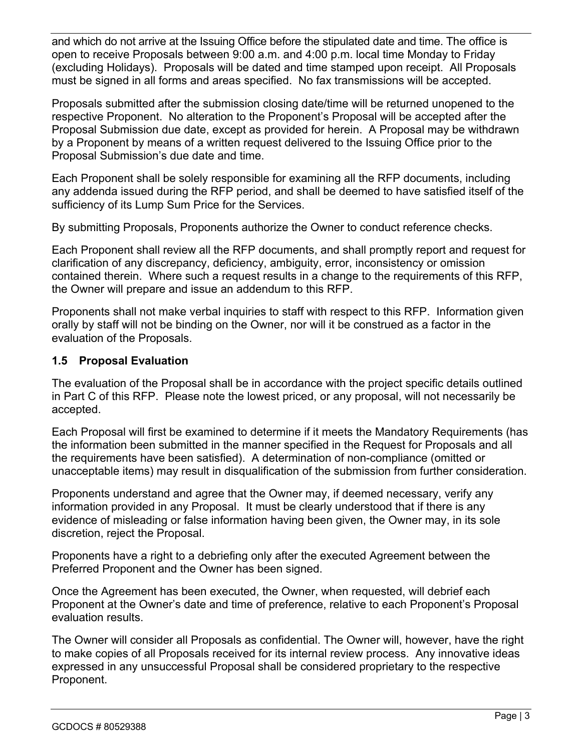and which do not arrive at the Issuing Office before the stipulated date and time. The office is open to receive Proposals between 9:00 a.m. and 4:00 p.m. local time Monday to Friday (excluding Holidays). Proposals will be dated and time stamped upon receipt.All Proposals must be signed in all forms and areas specified. No fax transmissions will be accepted.

Proposals submitted after the submission closing date/time will be returned unopened to the respective Proponent. No alteration to the Proponent's Proposal will be accepted after the Proposal Submission due date, except as provided for herein. A Proposal may be withdrawn by a Proponent by means of a written request delivered to the Issuing Office prior to the Proposal Submission's due date and time.

Each Proponent shall be solely responsible for examining all the RFP documents, including any addenda issued during the RFP period, and shall be deemed to have satisfied itself of the sufficiency of its Lump Sum Price for the Services.

By submitting Proposals, Proponents authorize the Owner to conduct reference checks.

Each Proponent shall review all the RFP documents, and shall promptly report and request for clarification of any discrepancy, deficiency, ambiguity, error, inconsistency or omission contained therein. Where such a request results in a change to the requirements of this RFP, the Owner will prepare and issue an addendum to this RFP.

Proponents shall not make verbal inquiries to staff with respect to this RFP. Information given orally by staff will not be binding on the Owner, nor will it be construed as a factor in the evaluation of the Proposals.

### **1.5 Proposal Evaluation**

The evaluation of the Proposal shall be in accordance with the project specific details outlined in Part C of this RFP. Please note the lowest priced, or any proposal, will not necessarily be accepted.

Each Proposal will first be examined to determine if it meets the Mandatory Requirements (has the information been submitted in the manner specified in the Request for Proposals and all the requirements have been satisfied). A determination of non-compliance (omitted or unacceptable items) may result in disqualification of the submission from further consideration.

Proponents understand and agree that the Owner may, if deemed necessary, verify any information provided in any Proposal. It must be clearly understood that if there is any evidence of misleading or false information having been given, the Owner may, in its sole discretion, reject the Proposal.

Proponents have a right to a debriefing only after the executed Agreement between the Preferred Proponent and the Owner has been signed.

Once the Agreement has been executed, the Owner, when requested, will debrief each Proponent at the Owner's date and time of preference, relative to each Proponent's Proposal evaluation results.

The Owner will consider all Proposals as confidential. The Owner will, however, have the right to make copies of all Proposals received for its internal review process. Any innovative ideas expressed in any unsuccessful Proposal shall be considered proprietary to the respective Proponent.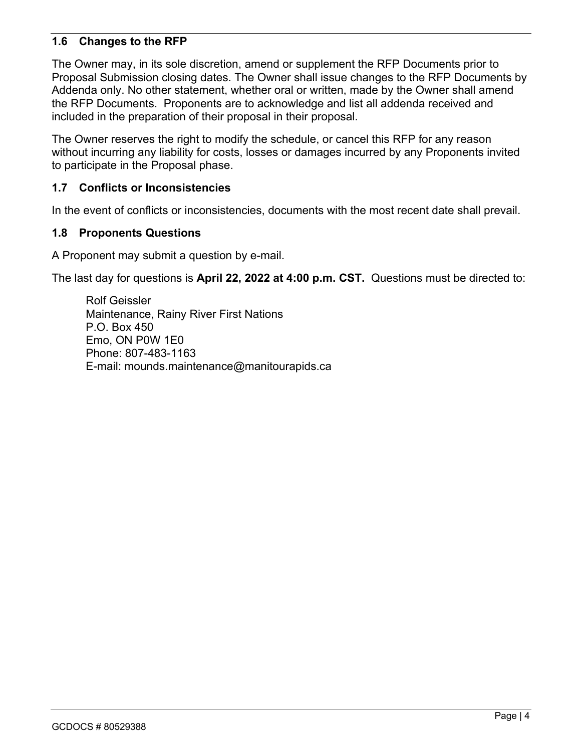#### **1.6 Changes to the RFP**

The Owner may, in its sole discretion, amend or supplement the RFP Documents prior to Proposal Submission closing dates. The Owner shall issue changes to the RFP Documents by Addenda only. No other statement, whether oral or written, made by the Owner shall amend the RFP Documents. Proponents are to acknowledge and list all addenda received and included in the preparation of their proposal in their proposal.

The Owner reserves the right to modify the schedule, or cancel this RFP for any reason without incurring any liability for costs, losses or damages incurred by any Proponents invited to participate in the Proposal phase.

#### **1.7 Conflicts or Inconsistencies**

In the event of conflicts or inconsistencies, documents with the most recent date shall prevail.

#### **1.8 Proponents Questions**

A Proponent may submit a question by e-mail.

The last day for questions is **April 22, 2022 at 4:00 p.m. CST.** Questions must be directed to:

Rolf Geissler Maintenance, Rainy River First Nations P.O. Box 450 Emo, ON P0W 1E0 Phone: 807-483-1163 E-mail: mounds.maintenance@manitourapids.ca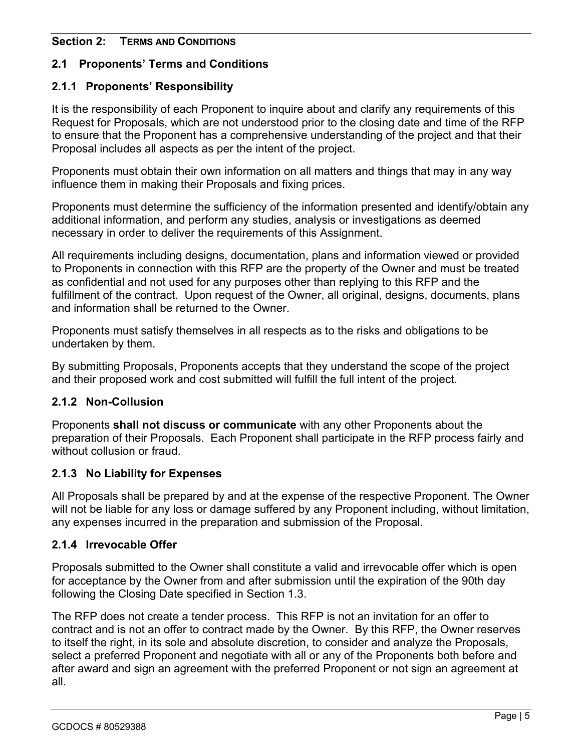### **Section 2: TERMS AND CONDITIONS**

### **2.1 Proponents' Terms and Conditions**

### **2.1.1 Proponents' Responsibility**

It is the responsibility of each Proponent to inquire about and clarify any requirements of this Request for Proposals, which are not understood prior to the closing date and time of the RFP to ensure that the Proponent has a comprehensive understanding of the project and that their Proposal includes all aspects as per the intent of the project.

Proponents must obtain their own information on all matters and things that may in any way influence them in making their Proposals and fixing prices.

Proponents must determine the sufficiency of the information presented and identify/obtain any additional information, and perform any studies, analysis or investigations as deemed necessary in order to deliver the requirements of this Assignment.

All requirements including designs, documentation, plans and information viewed or provided to Proponents in connection with this RFP are the property of the Owner and must be treated as confidential and not used for any purposes other than replying to this RFP and the fulfillment of the contract. Upon request of the Owner, all original, designs, documents, plans and information shall be returned to the Owner.

Proponents must satisfy themselves in all respects as to the risks and obligations to be undertaken by them.

By submitting Proposals, Proponents accepts that they understand the scope of the project and their proposed work and cost submitted will fulfill the full intent of the project.

#### **2.1.2 Non-Collusion**

Proponents **shall not discuss or communicate** with any other Proponents about the preparation of their Proposals. Each Proponent shall participate in the RFP process fairly and without collusion or fraud.

### **2.1.3 No Liability for Expenses**

All Proposals shall be prepared by and at the expense of the respective Proponent. The Owner will not be liable for any loss or damage suffered by any Proponent including, without limitation, any expenses incurred in the preparation and submission of the Proposal.

#### **2.1.4 Irrevocable Offer**

Proposals submitted to the Owner shall constitute a valid and irrevocable offer which is open for acceptance by the Owner from and after submission until the expiration of the 90th day following the Closing Date specified in Section 1.3.

The RFP does not create a tender process. This RFP is not an invitation for an offer to contract and is not an offer to contract made by the Owner. By this RFP, the Owner reserves to itself the right, in its sole and absolute discretion, to consider and analyze the Proposals, select a preferred Proponent and negotiate with all or any of the Proponents both before and after award and sign an agreement with the preferred Proponent or not sign an agreement at all.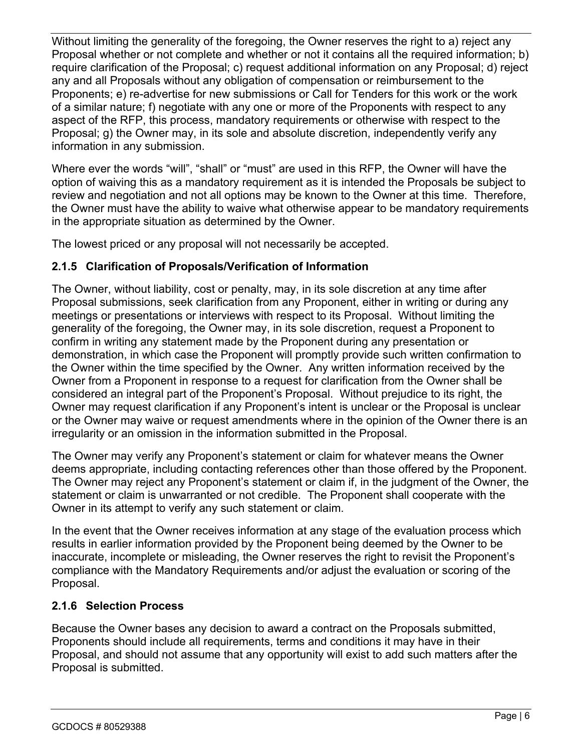Without limiting the generality of the foregoing, the Owner reserves the right to a) reject any Proposal whether or not complete and whether or not it contains all the required information; b) require clarification of the Proposal; c) request additional information on any Proposal; d) reject any and all Proposals without any obligation of compensation or reimbursement to the Proponents; e) re-advertise for new submissions or Call for Tenders for this work or the work of a similar nature; f) negotiate with any one or more of the Proponents with respect to any aspect of the RFP, this process, mandatory requirements or otherwise with respect to the Proposal; g) the Owner may, in its sole and absolute discretion, independently verify any information in any submission.

Where ever the words "will", "shall" or "must" are used in this RFP, the Owner will have the option of waiving this as a mandatory requirement as it is intended the Proposals be subject to review and negotiation and not all options may be known to the Owner at this time. Therefore, the Owner must have the ability to waive what otherwise appear to be mandatory requirements in the appropriate situation as determined by the Owner.

The lowest priced or any proposal will not necessarily be accepted.

### **2.1.5 Clarification of Proposals/Verification of Information**

The Owner, without liability, cost or penalty, may, in its sole discretion at any time after Proposal submissions, seek clarification from any Proponent, either in writing or during any meetings or presentations or interviews with respect to its Proposal. Without limiting the generality of the foregoing, the Owner may, in its sole discretion, request a Proponent to confirm in writing any statement made by the Proponent during any presentation or demonstration, in which case the Proponent will promptly provide such written confirmation to the Owner within the time specified by the Owner. Any written information received by the Owner from a Proponent in response to a request for clarification from the Owner shall be considered an integral part of the Proponent's Proposal. Without prejudice to its right, the Owner may request clarification if any Proponent's intent is unclear or the Proposal is unclear or the Owner may waive or request amendments where in the opinion of the Owner there is an irregularity or an omission in the information submitted in the Proposal.

The Owner may verify any Proponent's statement or claim for whatever means the Owner deems appropriate, including contacting references other than those offered by the Proponent. The Owner may reject any Proponent's statement or claim if, in the judgment of the Owner, the statement or claim is unwarranted or not credible. The Proponent shall cooperate with the Owner in its attempt to verify any such statement or claim.

In the event that the Owner receives information at any stage of the evaluation process which results in earlier information provided by the Proponent being deemed by the Owner to be inaccurate, incomplete or misleading, the Owner reserves the right to revisit the Proponent's compliance with the Mandatory Requirements and/or adjust the evaluation or scoring of the Proposal.

### **2.1.6 Selection Process**

Because the Owner bases any decision to award a contract on the Proposals submitted, Proponents should include all requirements, terms and conditions it may have in their Proposal, and should not assume that any opportunity will exist to add such matters after the Proposal is submitted.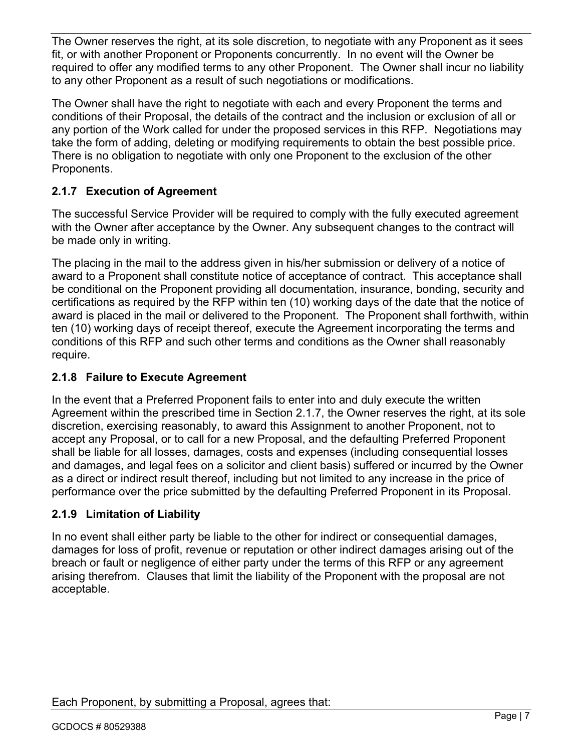The Owner reserves the right, at its sole discretion, to negotiate with any Proponent as it sees fit, or with another Proponent or Proponents concurrently. In no event will the Owner be required to offer any modified terms to any other Proponent. The Owner shall incur no liability to any other Proponent as a result of such negotiations or modifications.

The Owner shall have the right to negotiate with each and every Proponent the terms and conditions of their Proposal, the details of the contract and the inclusion or exclusion of all or any portion of the Work called for under the proposed services in this RFP. Negotiations may take the form of adding, deleting or modifying requirements to obtain the best possible price. There is no obligation to negotiate with only one Proponent to the exclusion of the other Proponents.

# **2.1.7 Execution of Agreement**

The successful Service Provider will be required to comply with the fully executed agreement with the Owner after acceptance by the Owner. Any subsequent changes to the contract will be made only in writing.

The placing in the mail to the address given in his/her submission or delivery of a notice of award to a Proponent shall constitute notice of acceptance of contract. This acceptance shall be conditional on the Proponent providing all documentation, insurance, bonding, security and certifications as required by the RFP within ten (10) working days of the date that the notice of award is placed in the mail or delivered to the Proponent. The Proponent shall forthwith, within ten (10) working days of receipt thereof, execute the Agreement incorporating the terms and conditions of this RFP and such other terms and conditions as the Owner shall reasonably require.

# **2.1.8 Failure to Execute Agreement**

In the event that a Preferred Proponent fails to enter into and duly execute the written Agreement within the prescribed time in Section 2.1.7, the Owner reserves the right, at its sole discretion, exercising reasonably, to award this Assignment to another Proponent, not to accept any Proposal, or to call for a new Proposal, and the defaulting Preferred Proponent shall be liable for all losses, damages, costs and expenses (including consequential losses and damages, and legal fees on a solicitor and client basis) suffered or incurred by the Owner as a direct or indirect result thereof, including but not limited to any increase in the price of performance over the price submitted by the defaulting Preferred Proponent in its Proposal.

# **2.1.9 Limitation of Liability**

In no event shall either party be liable to the other for indirect or consequential damages, damages for loss of profit, revenue or reputation or other indirect damages arising out of the breach or fault or negligence of either party under the terms of this RFP or any agreement arising therefrom. Clauses that limit the liability of the Proponent with the proposal are not acceptable.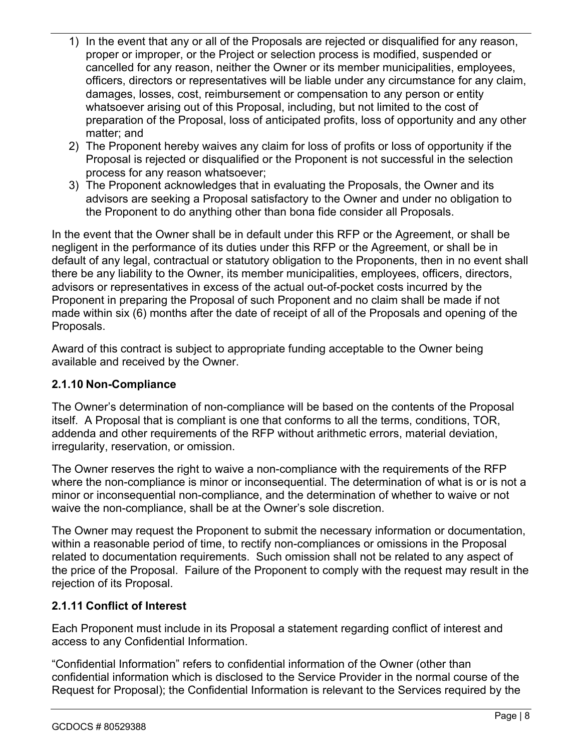- 1) In the event that any or all of the Proposals are rejected or disqualified for any reason, proper or improper, or the Project or selection process is modified, suspended or cancelled for any reason, neither the Owner or its member municipalities, employees, officers, directors or representatives will be liable under any circumstance for any claim, damages, losses, cost, reimbursement or compensation to any person or entity whatsoever arising out of this Proposal, including, but not limited to the cost of preparation of the Proposal, loss of anticipated profits, loss of opportunity and any other matter; and
- 2) The Proponent hereby waives any claim for loss of profits or loss of opportunity if the Proposal is rejected or disqualified or the Proponent is not successful in the selection process for any reason whatsoever;
- 3) The Proponent acknowledges that in evaluating the Proposals, the Owner and its advisors are seeking a Proposal satisfactory to the Owner and under no obligation to the Proponent to do anything other than bona fide consider all Proposals.

In the event that the Owner shall be in default under this RFP or the Agreement, or shall be negligent in the performance of its duties under this RFP or the Agreement, or shall be in default of any legal, contractual or statutory obligation to the Proponents, then in no event shall there be any liability to the Owner, its member municipalities, employees, officers, directors, advisors or representatives in excess of the actual out-of-pocket costs incurred by the Proponent in preparing the Proposal of such Proponent and no claim shall be made if not made within six (6) months after the date of receipt of all of the Proposals and opening of the Proposals.

Award of this contract is subject to appropriate funding acceptable to the Owner being available and received by the Owner.

### **2.1.10 Non-Compliance**

The Owner's determination of non-compliance will be based on the contents of the Proposal itself. A Proposal that is compliant is one that conforms to all the terms, conditions, TOR, addenda and other requirements of the RFP without arithmetic errors, material deviation, irregularity, reservation, or omission.

The Owner reserves the right to waive a non-compliance with the requirements of the RFP where the non-compliance is minor or inconsequential. The determination of what is or is not a minor or inconsequential non-compliance, and the determination of whether to waive or not waive the non-compliance, shall be at the Owner's sole discretion.

The Owner may request the Proponent to submit the necessary information or documentation, within a reasonable period of time, to rectify non-compliances or omissions in the Proposal related to documentation requirements. Such omission shall not be related to any aspect of the price of the Proposal. Failure of the Proponent to comply with the request may result in the rejection of its Proposal.

# **2.1.11 Conflict of Interest**

Each Proponent must include in its Proposal a statement regarding conflict of interest and access to any Confidential Information.

"Confidential Information" refers to confidential information of the Owner (other than confidential information which is disclosed to the Service Provider in the normal course of the Request for Proposal); the Confidential Information is relevant to the Services required by the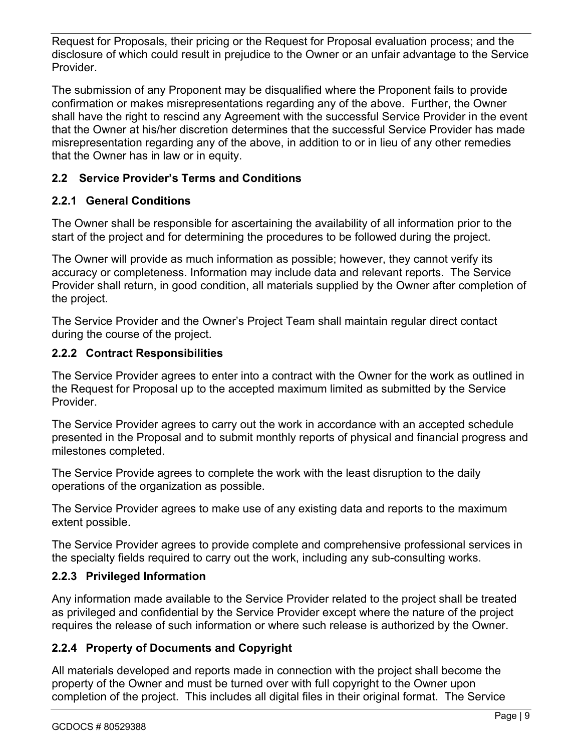Request for Proposals, their pricing or the Request for Proposal evaluation process; and the disclosure of which could result in prejudice to the Owner or an unfair advantage to the Service Provider.

The submission of any Proponent may be disqualified where the Proponent fails to provide confirmation or makes misrepresentations regarding any of the above. Further, the Owner shall have the right to rescind any Agreement with the successful Service Provider in the event that the Owner at his/her discretion determines that the successful Service Provider has made misrepresentation regarding any of the above, in addition to or in lieu of any other remedies that the Owner has in law or in equity.

# **2.2 Service Provider's Terms and Conditions**

# **2.2.1 General Conditions**

The Owner shall be responsible for ascertaining the availability of all information prior to the start of the project and for determining the procedures to be followed during the project.

The Owner will provide as much information as possible; however, they cannot verify its accuracy or completeness. Information may include data and relevant reports. The Service Provider shall return, in good condition, all materials supplied by the Owner after completion of the project.

The Service Provider and the Owner's Project Team shall maintain regular direct contact during the course of the project.

### **2.2.2 Contract Responsibilities**

The Service Provider agrees to enter into a contract with the Owner for the work as outlined in the Request for Proposal up to the accepted maximum limited as submitted by the Service Provider.

The Service Provider agrees to carry out the work in accordance with an accepted schedule presented in the Proposal and to submit monthly reports of physical and financial progress and milestones completed.

The Service Provide agrees to complete the work with the least disruption to the daily operations of the organization as possible.

The Service Provider agrees to make use of any existing data and reports to the maximum extent possible.

The Service Provider agrees to provide complete and comprehensive professional services in the specialty fields required to carry out the work, including any sub-consulting works.

# **2.2.3 Privileged Information**

Any information made available to the Service Provider related to the project shall be treated as privileged and confidential by the Service Provider except where the nature of the project requires the release of such information or where such release is authorized by the Owner.

# **2.2.4 Property of Documents and Copyright**

All materials developed and reports made in connection with the project shall become the property of the Owner and must be turned over with full copyright to the Owner upon completion of the project. This includes all digital files in their original format. The Service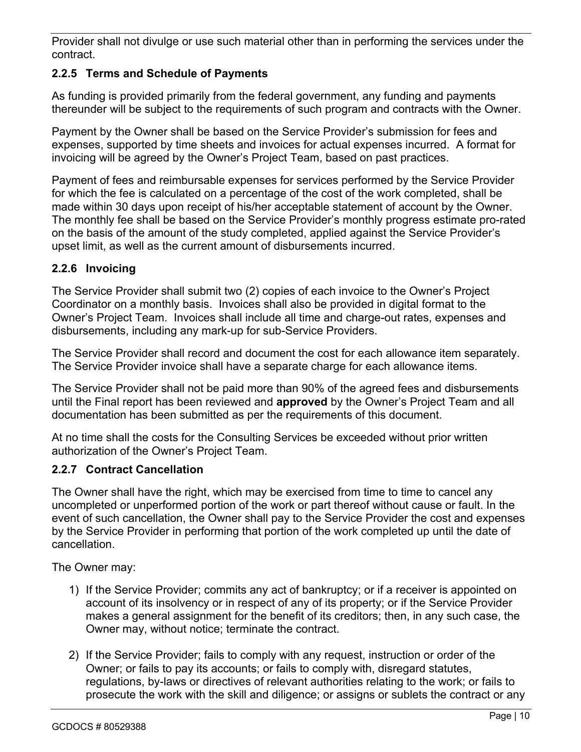Provider shall not divulge or use such material other than in performing the services under the contract.

# **2.2.5 Terms and Schedule of Payments**

As funding is provided primarily from the federal government, any funding and payments thereunder will be subject to the requirements of such program and contracts with the Owner.

Payment by the Owner shall be based on the Service Provider's submission for fees and expenses, supported by time sheets and invoices for actual expenses incurred. A format for invoicing will be agreed by the Owner's Project Team, based on past practices.

Payment of fees and reimbursable expenses for services performed by the Service Provider for which the fee is calculated on a percentage of the cost of the work completed, shall be made within 30 days upon receipt of his/her acceptable statement of account by the Owner. The monthly fee shall be based on the Service Provider's monthly progress estimate pro-rated on the basis of the amount of the study completed, applied against the Service Provider's upset limit, as well as the current amount of disbursements incurred.

# **2.2.6 Invoicing**

The Service Provider shall submit two (2) copies of each invoice to the Owner's Project Coordinator on a monthly basis. Invoices shall also be provided in digital format to the Owner's Project Team. Invoices shall include all time and charge-out rates, expenses and disbursements, including any mark-up for sub-Service Providers.

The Service Provider shall record and document the cost for each allowance item separately. The Service Provider invoice shall have a separate charge for each allowance items.

The Service Provider shall not be paid more than 90% of the agreed fees and disbursements until the Final report has been reviewed and **approved** by the Owner's Project Team and all documentation has been submitted as per the requirements of this document.

At no time shall the costs for the Consulting Services be exceeded without prior written authorization of the Owner's Project Team.

### **2.2.7 Contract Cancellation**

The Owner shall have the right, which may be exercised from time to time to cancel any uncompleted or unperformed portion of the work or part thereof without cause or fault. In the event of such cancellation, the Owner shall pay to the Service Provider the cost and expenses by the Service Provider in performing that portion of the work completed up until the date of cancellation.

The Owner may:

- 1) If the Service Provider; commits any act of bankruptcy; or if a receiver is appointed on account of its insolvency or in respect of any of its property; or if the Service Provider makes a general assignment for the benefit of its creditors; then, in any such case, the Owner may, without notice; terminate the contract.
- 2) If the Service Provider; fails to comply with any request, instruction or order of the Owner; or fails to pay its accounts; or fails to comply with, disregard statutes, regulations, by-laws or directives of relevant authorities relating to the work; or fails to prosecute the work with the skill and diligence; or assigns or sublets the contract or any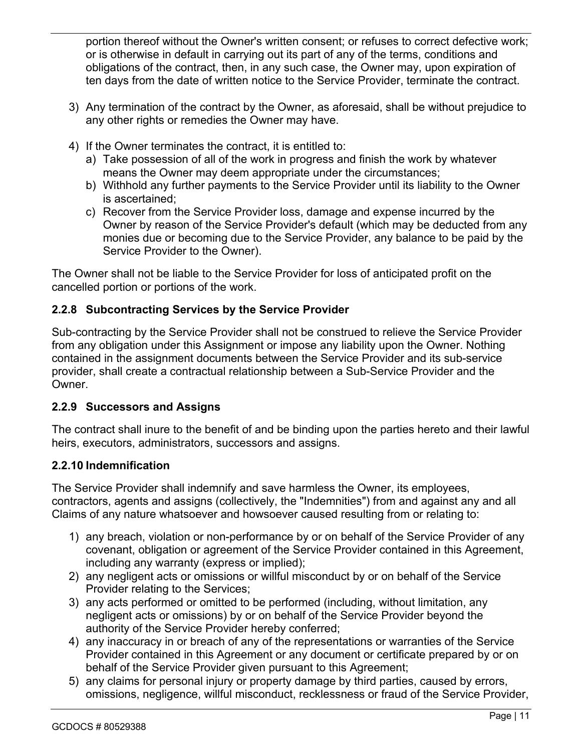portion thereof without the Owner's written consent; or refuses to correct defective work; or is otherwise in default in carrying out its part of any of the terms, conditions and obligations of the contract, then, in any such case, the Owner may, upon expiration of ten days from the date of written notice to the Service Provider, terminate the contract.

- 3) Any termination of the contract by the Owner, as aforesaid, shall be without prejudice to any other rights or remedies the Owner may have.
- 4) If the Owner terminates the contract, it is entitled to:
	- a) Take possession of all of the work in progress and finish the work by whatever means the Owner may deem appropriate under the circumstances;
	- b) Withhold any further payments to the Service Provider until its liability to the Owner is ascertained;
	- c) Recover from the Service Provider loss, damage and expense incurred by the Owner by reason of the Service Provider's default (which may be deducted from any monies due or becoming due to the Service Provider, any balance to be paid by the Service Provider to the Owner).

The Owner shall not be liable to the Service Provider for loss of anticipated profit on the cancelled portion or portions of the work.

# **2.2.8 Subcontracting Services by the Service Provider**

Sub-contracting by the Service Provider shall not be construed to relieve the Service Provider from any obligation under this Assignment or impose any liability upon the Owner. Nothing contained in the assignment documents between the Service Provider and its sub-service provider, shall create a contractual relationship between a Sub-Service Provider and the Owner.

### **2.2.9 Successors and Assigns**

The contract shall inure to the benefit of and be binding upon the parties hereto and their lawful heirs, executors, administrators, successors and assigns.

### **2.2.10 Indemnification**

The Service Provider shall indemnify and save harmless the Owner, its employees, contractors, agents and assigns (collectively, the "Indemnities") from and against any and all Claims of any nature whatsoever and howsoever caused resulting from or relating to:

- 1) any breach, violation or non-performance by or on behalf of the Service Provider of any covenant, obligation or agreement of the Service Provider contained in this Agreement, including any warranty (express or implied);
- 2) any negligent acts or omissions or willful misconduct by or on behalf of the Service Provider relating to the Services;
- 3) any acts performed or omitted to be performed (including, without limitation, any negligent acts or omissions) by or on behalf of the Service Provider beyond the authority of the Service Provider hereby conferred;
- 4) any inaccuracy in or breach of any of the representations or warranties of the Service Provider contained in this Agreement or any document or certificate prepared by or on behalf of the Service Provider given pursuant to this Agreement;
- 5) any claims for personal injury or property damage by third parties, caused by errors, omissions, negligence, willful misconduct, recklessness or fraud of the Service Provider,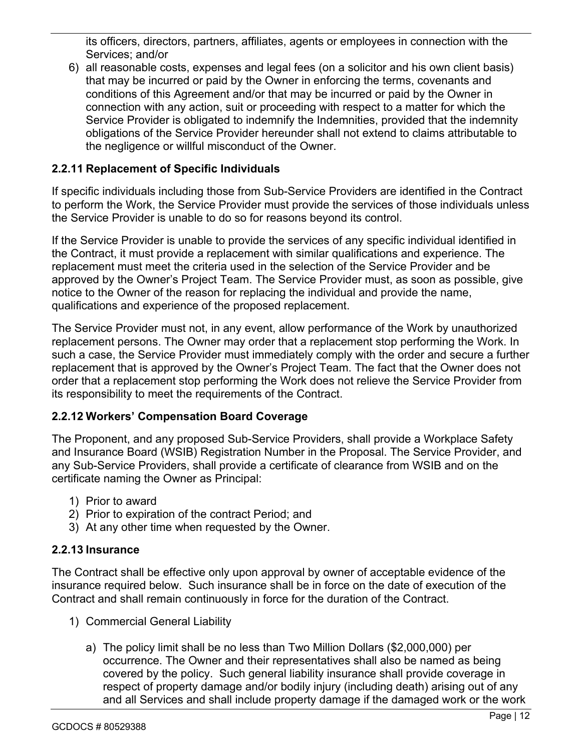its officers, directors, partners, affiliates, agents or employees in connection with the Services; and/or

6) all reasonable costs, expenses and legal fees (on a solicitor and his own client basis) that may be incurred or paid by the Owner in enforcing the terms, covenants and conditions of this Agreement and/or that may be incurred or paid by the Owner in connection with any action, suit or proceeding with respect to a matter for which the Service Provider is obligated to indemnify the Indemnities, provided that the indemnity obligations of the Service Provider hereunder shall not extend to claims attributable to the negligence or willful misconduct of the Owner.

### **2.2.11 Replacement of Specific Individuals**

If specific individuals including those from Sub-Service Providers are identified in the Contract to perform the Work, the Service Provider must provide the services of those individuals unless the Service Provider is unable to do so for reasons beyond its control.

If the Service Provider is unable to provide the services of any specific individual identified in the Contract, it must provide a replacement with similar qualifications and experience. The replacement must meet the criteria used in the selection of the Service Provider and be approved by the Owner's Project Team. The Service Provider must, as soon as possible, give notice to the Owner of the reason for replacing the individual and provide the name, qualifications and experience of the proposed replacement.

The Service Provider must not, in any event, allow performance of the Work by unauthorized replacement persons. The Owner may order that a replacement stop performing the Work. In such a case, the Service Provider must immediately comply with the order and secure a further replacement that is approved by the Owner's Project Team. The fact that the Owner does not order that a replacement stop performing the Work does not relieve the Service Provider from its responsibility to meet the requirements of the Contract.

#### **2.2.12 Workers' Compensation Board Coverage**

The Proponent, and any proposed Sub-Service Providers, shall provide a Workplace Safety and Insurance Board (WSIB) Registration Number in the Proposal. The Service Provider, and any Sub-Service Providers, shall provide a certificate of clearance from WSIB and on the certificate naming the Owner as Principal:

- 1) Prior to award
- 2) Prior to expiration of the contract Period; and
- 3) At any other time when requested by the Owner.

### **2.2.13 Insurance**

The Contract shall be effective only upon approval by owner of acceptable evidence of the insurance required below. Such insurance shall be in force on the date of execution of the Contract and shall remain continuously in force for the duration of the Contract.

- 1) Commercial General Liability
	- a) The policy limit shall be no less than Two Million Dollars (\$2,000,000) per occurrence. The Owner and their representatives shall also be named as being covered by the policy. Such general liability insurance shall provide coverage in respect of property damage and/or bodily injury (including death) arising out of any and all Services and shall include property damage if the damaged work or the work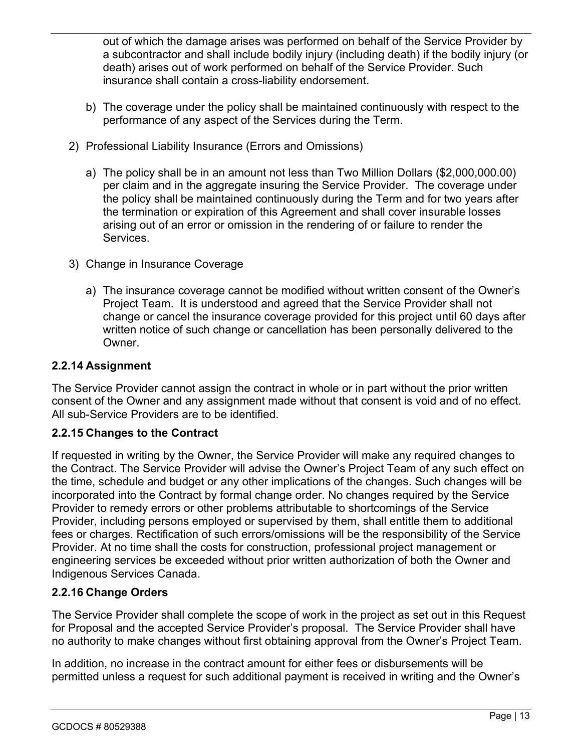out of which the damage arises was performed on behalf of the Service Provider by a subcontractor and shall include bodily injury (including death) if the bodily injury (or death) arises out of work performed on behalf of the Service Provider. Such insurance shall contain a cross-liability endorsement.

- b) The coverage under the policy shall be maintained continuously with respect to the performance of any aspect of the Services during the Term.
- 2) Professional Liability Insurance (Errors and Omissions)
	- a) The policy shall be in an amount not less than Two Million Dollars (\$2,000,000.00) per claim and in the aggregate insuring the Service Provider. The coverage under the policy shall be maintained continuously during the Term and for two years after the termination or expiration of this Agreement and shall cover insurable losses arising out of an error or omission in the rendering of or failure to render the Services.
- 3) Change in Insurance Coverage
	- a) The insurance coverage cannot be modified without written consent of the Owner's Project Team. It is understood and agreed that the Service Provider shall not change or cancel the insurance coverage provided for this project until 60 days after written notice of such change or cancellation has been personally delivered to the Owner.

#### **2.2.14 Assignment**

The Service Provider cannot assign the contract in whole or in part without the prior written consent of the Owner and any assignment made without that consent is void and of no effect. All sub-Service Providers are to be identified.

### **2.2.15 Changes to the Contract**

If requested in writing by the Owner, the Service Provider will make any required changes to the Contract. The Service Provider will advise the Owner's Project Team of any such effect on the time, schedule and budget or any other implications of the changes. Such changes will be incorporated into the Contract by formal change order. No changes required by the Service Provider to remedy errors or other problems attributable to shortcomings of the Service Provider, including persons employed or supervised by them, shall entitle them to additional fees or charges. Rectification of such errors/omissions will be the responsibility of the Service Provider. At no time shall the costs for construction, professional project management or engineering services be exceeded without prior written authorization of both the Owner and Indigenous Services Canada.

#### **2.2.16 Change Orders**

The Service Provider shall complete the scope of work in the project as set out in this Request for Proposal and the accepted Service Provider's proposal. The Service Provider shall have no authority to make changes without first obtaining approval from the Owner's Project Team.

In addition, no increase in the contract amount for either fees or disbursements will be permitted unless a request for such additional payment is received in writing and the Owner's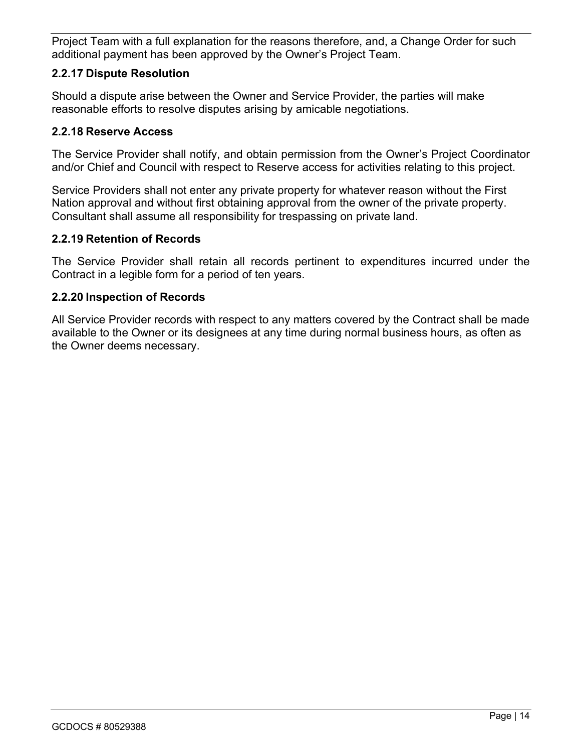Project Team with a full explanation for the reasons therefore, and, a Change Order for such additional payment has been approved by the Owner's Project Team.

#### **2.2.17 Dispute Resolution**

Should a dispute arise between the Owner and Service Provider, the parties will make reasonable efforts to resolve disputes arising by amicable negotiations.

#### **2.2.18 Reserve Access**

The Service Provider shall notify, and obtain permission from the Owner's Project Coordinator and/or Chief and Council with respect to Reserve access for activities relating to this project.

Service Providers shall not enter any private property for whatever reason without the First Nation approval and without first obtaining approval from the owner of the private property. Consultant shall assume all responsibility for trespassing on private land.

#### **2.2.19 Retention of Records**

The Service Provider shall retain all records pertinent to expenditures incurred under the Contract in a legible form for a period of ten years.

#### **2.2.20 Inspection of Records**

All Service Provider records with respect to any matters covered by the Contract shall be made available to the Owner or its designees at any time during normal business hours, as often as the Owner deems necessary.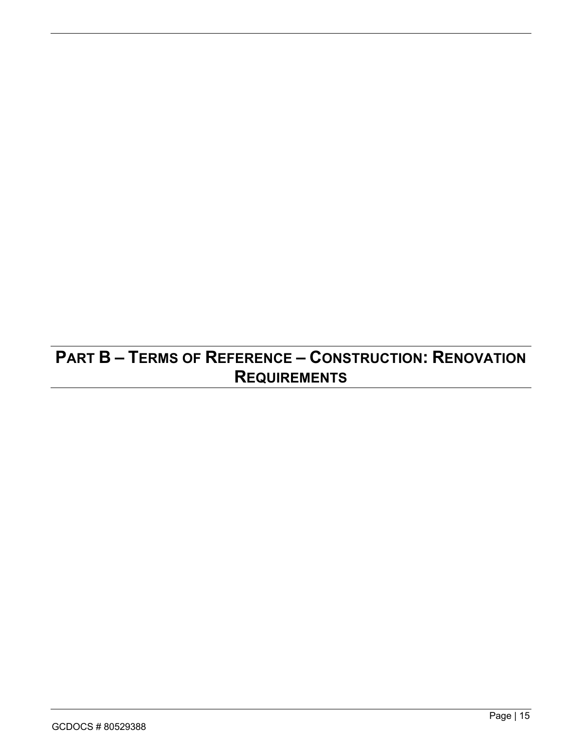# **PART B – TERMS OF REFERENCE – CONSTRUCTION: RENOVATION REQUIREMENTS**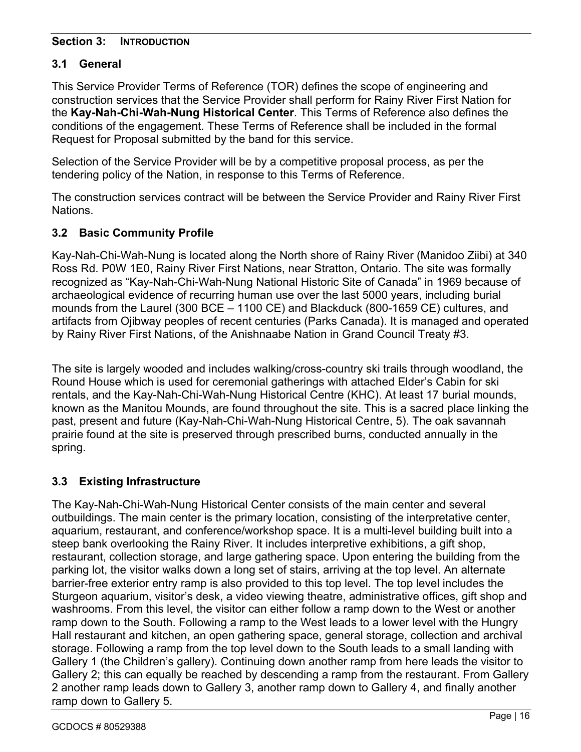#### **Section 3: INTRODUCTION**

# **3.1 General**

This Service Provider Terms of Reference (TOR) defines the scope of engineering and construction services that the Service Provider shall perform for Rainy River First Nation for the **Kay-Nah-Chi-Wah-Nung Historical Center**. This Terms of Reference also defines the conditions of the engagement. These Terms of Reference shall be included in the formal Request for Proposal submitted by the band for this service.

Selection of the Service Provider will be by a competitive proposal process, as per the tendering policy of the Nation, in response to this Terms of Reference.

The construction services contract will be between the Service Provider and Rainy River First Nations.

# **3.2 Basic Community Profile**

Kay-Nah-Chi-Wah-Nung is located along the North shore of Rainy River (Manidoo Ziibi) at 340 Ross Rd. P0W 1E0, Rainy River First Nations, near Stratton, Ontario. The site was formally recognized as "Kay-Nah-Chi-Wah-Nung National Historic Site of Canada" in 1969 because of archaeological evidence of recurring human use over the last 5000 years, including burial mounds from the Laurel (300 BCE – 1100 CE) and Blackduck (800-1659 CE) cultures, and artifacts from Ojibway peoples of recent centuries (Parks Canada). It is managed and operated by Rainy River First Nations, of the Anishnaabe Nation in Grand Council Treaty #3.

The site is largely wooded and includes walking/cross-country ski trails through woodland, the Round House which is used for ceremonial gatherings with attached Elder's Cabin for ski rentals, and the Kay-Nah-Chi-Wah-Nung Historical Centre (KHC). At least 17 burial mounds, known as the Manitou Mounds, are found throughout the site. This is a sacred place linking the past, present and future (Kay-Nah-Chi-Wah-Nung Historical Centre, 5). The oak savannah prairie found at the site is preserved through prescribed burns, conducted annually in the spring.

# **3.3 Existing Infrastructure**

The Kay-Nah-Chi-Wah-Nung Historical Center consists of the main center and several outbuildings. The main center is the primary location, consisting of the interpretative center, aquarium, restaurant, and conference/workshop space. It is a multi-level building built into a steep bank overlooking the Rainy River. It includes interpretive exhibitions, a gift shop, restaurant, collection storage, and large gathering space. Upon entering the building from the parking lot, the visitor walks down a long set of stairs, arriving at the top level. An alternate barrier-free exterior entry ramp is also provided to this top level. The top level includes the Sturgeon aquarium, visitor's desk, a video viewing theatre, administrative offices, gift shop and washrooms. From this level, the visitor can either follow a ramp down to the West or another ramp down to the South. Following a ramp to the West leads to a lower level with the Hungry Hall restaurant and kitchen, an open gathering space, general storage, collection and archival storage. Following a ramp from the top level down to the South leads to a small landing with Gallery 1 (the Children's gallery). Continuing down another ramp from here leads the visitor to Gallery 2; this can equally be reached by descending a ramp from the restaurant. From Gallery 2 another ramp leads down to Gallery 3, another ramp down to Gallery 4, and finally another ramp down to Gallery 5.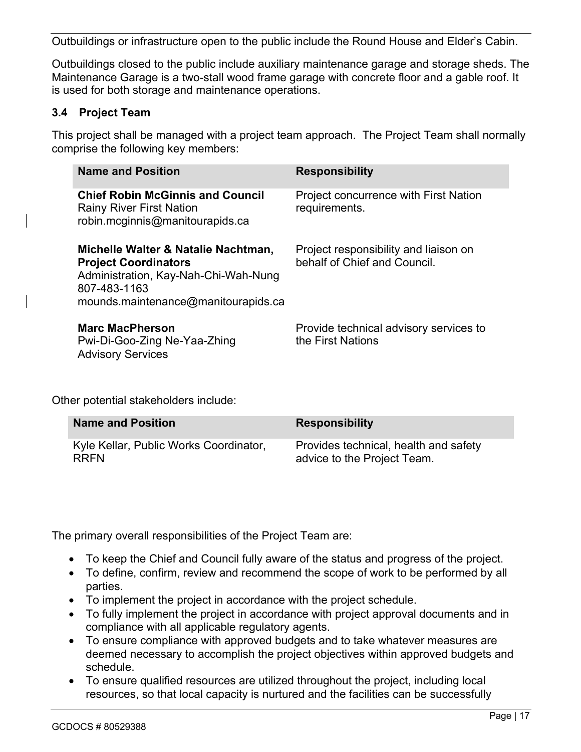Outbuildings or infrastructure open to the public include the Round House and Elder's Cabin.

Outbuildings closed to the public include auxiliary maintenance garage and storage sheds. The Maintenance Garage is a two-stall wood frame garage with concrete floor and a gable roof. It is used for both storage and maintenance operations.

#### **3.4 Project Team**

This project shall be managed with a project team approach. The Project Team shall normally comprise the following key members:

| <b>Name and Position</b>                                                                                                                                          | <b>Responsibility</b>                                                 |
|-------------------------------------------------------------------------------------------------------------------------------------------------------------------|-----------------------------------------------------------------------|
| <b>Chief Robin McGinnis and Council</b><br><b>Rainy River First Nation</b><br>robin.mcginnis@manitourapids.ca                                                     | <b>Project concurrence with First Nation</b><br>requirements.         |
| Michelle Walter & Natalie Nachtman,<br><b>Project Coordinators</b><br>Administration, Kay-Nah-Chi-Wah-Nung<br>807-483-1163<br>mounds.maintenance@manitourapids.ca | Project responsibility and liaison on<br>behalf of Chief and Council. |
| <b>Marc MacPherson</b><br>Pwi-Di-Goo-Zing Ne-Yaa-Zhing<br><b>Advisory Services</b>                                                                                | Provide technical advisory services to<br>the First Nations           |

Other potential stakeholders include:

| <b>Name and Position</b>               | <b>Responsibility</b>                 |
|----------------------------------------|---------------------------------------|
| Kyle Kellar, Public Works Coordinator, | Provides technical, health and safety |
| <b>RRFN</b>                            | advice to the Project Team.           |

The primary overall responsibilities of the Project Team are:

- To keep the Chief and Council fully aware of the status and progress of the project.
- To define, confirm, review and recommend the scope of work to be performed by all parties.
- To implement the project in accordance with the project schedule.
- To fully implement the project in accordance with project approval documents and in compliance with all applicable regulatory agents.
- To ensure compliance with approved budgets and to take whatever measures are deemed necessary to accomplish the project objectives within approved budgets and schedule.
- To ensure qualified resources are utilized throughout the project, including local resources, so that local capacity is nurtured and the facilities can be successfully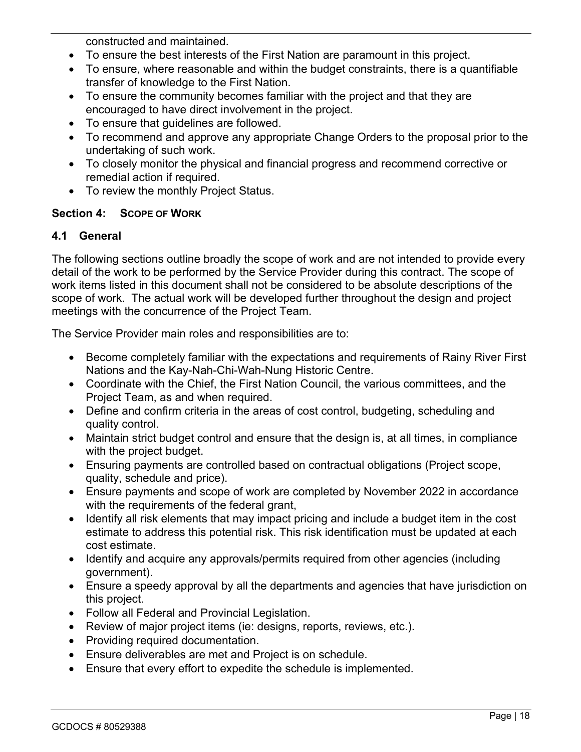constructed and maintained.

- To ensure the best interests of the First Nation are paramount in this project.
- To ensure, where reasonable and within the budget constraints, there is a quantifiable transfer of knowledge to the First Nation.
- To ensure the community becomes familiar with the project and that they are encouraged to have direct involvement in the project.
- To ensure that guidelines are followed.
- To recommend and approve any appropriate Change Orders to the proposal prior to the undertaking of such work.
- To closely monitor the physical and financial progress and recommend corrective or remedial action if required.
- To review the monthly Project Status.

#### **Section 4: SCOPE OF WORK**

#### **4.1 General**

The following sections outline broadly the scope of work and are not intended to provide every detail of the work to be performed by the Service Provider during this contract. The scope of work items listed in this document shall not be considered to be absolute descriptions of the scope of work. The actual work will be developed further throughout the design and project meetings with the concurrence of the Project Team.

The Service Provider main roles and responsibilities are to:

- Become completely familiar with the expectations and requirements of Rainy River First Nations and the Kay-Nah-Chi-Wah-Nung Historic Centre.
- Coordinate with the Chief, the First Nation Council, the various committees, and the Project Team, as and when required.
- Define and confirm criteria in the areas of cost control, budgeting, scheduling and quality control.
- Maintain strict budget control and ensure that the design is, at all times, in compliance with the project budget.
- Ensuring payments are controlled based on contractual obligations (Project scope, quality, schedule and price).
- Ensure payments and scope of work are completed by November 2022 in accordance with the requirements of the federal grant,
- Identify all risk elements that may impact pricing and include a budget item in the cost estimate to address this potential risk. This risk identification must be updated at each cost estimate.
- Identify and acquire any approvals/permits required from other agencies (including government).
- Ensure a speedy approval by all the departments and agencies that have jurisdiction on this project.
- Follow all Federal and Provincial Legislation.
- Review of major project items (ie: designs, reports, reviews, etc.).
- Providing required documentation.
- Ensure deliverables are met and Project is on schedule.
- Ensure that every effort to expedite the schedule is implemented.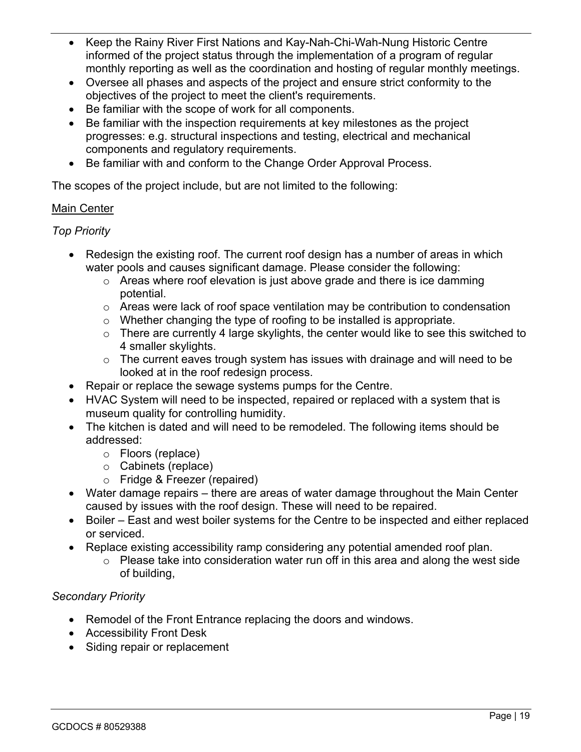- Keep the Rainy River First Nations and Kay-Nah-Chi-Wah-Nung Historic Centre informed of the project status through the implementation of a program of regular monthly reporting as well as the coordination and hosting of regular monthly meetings.
- Oversee all phases and aspects of the project and ensure strict conformity to the objectives of the project to meet the client's requirements.
- Be familiar with the scope of work for all components.
- Be familiar with the inspection requirements at key milestones as the project progresses: e.g. structural inspections and testing, electrical and mechanical components and regulatory requirements.
- Be familiar with and conform to the Change Order Approval Process.

The scopes of the project include, but are not limited to the following:

### Main Center

### *Top Priority*

- Redesign the existing roof. The current roof design has a number of areas in which water pools and causes significant damage. Please consider the following:
	- o Areas where roof elevation is just above grade and there is ice damming potential.
	- $\circ$  Areas were lack of roof space ventilation may be contribution to condensation
	- $\circ$  Whether changing the type of roofing to be installed is appropriate.
	- $\circ$  There are currently 4 large skylights, the center would like to see this switched to 4 smaller skylights.
	- o The current eaves trough system has issues with drainage and will need to be looked at in the roof redesign process.
- Repair or replace the sewage systems pumps for the Centre.
- HVAC System will need to be inspected, repaired or replaced with a system that is museum quality for controlling humidity.
- The kitchen is dated and will need to be remodeled. The following items should be addressed:
	- o Floors (replace)
	- o Cabinets (replace)
	- o Fridge & Freezer (repaired)
- Water damage repairs there are areas of water damage throughout the Main Center caused by issues with the roof design. These will need to be repaired.
- Boiler East and west boiler systems for the Centre to be inspected and either replaced or serviced.
- Replace existing accessibility ramp considering any potential amended roof plan.
	- o Please take into consideration water run off in this area and along the west side of building,

### *Secondary Priority*

- Remodel of the Front Entrance replacing the doors and windows.
- Accessibility Front Desk
- Siding repair or replacement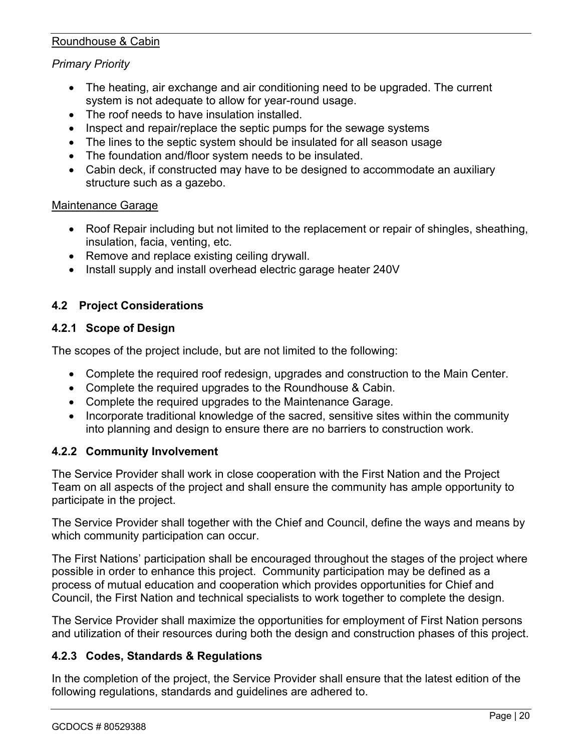#### Roundhouse & Cabin

#### *Primary Priority*

- The heating, air exchange and air conditioning need to be upgraded. The current system is not adequate to allow for year-round usage.
- The roof needs to have insulation installed.
- Inspect and repair/replace the septic pumps for the sewage systems
- The lines to the septic system should be insulated for all season usage
- The foundation and/floor system needs to be insulated.
- Cabin deck, if constructed may have to be designed to accommodate an auxiliary structure such as a gazebo.

#### Maintenance Garage

- Roof Repair including but not limited to the replacement or repair of shingles, sheathing, insulation, facia, venting, etc.
- Remove and replace existing ceiling drywall.
- Install supply and install overhead electric garage heater 240V

#### **4.2 Project Considerations**

#### **4.2.1 Scope of Design**

The scopes of the project include, but are not limited to the following:

- Complete the required roof redesign, upgrades and construction to the Main Center.
- Complete the required upgrades to the Roundhouse & Cabin.
- Complete the required upgrades to the Maintenance Garage.
- Incorporate traditional knowledge of the sacred, sensitive sites within the community into planning and design to ensure there are no barriers to construction work.

#### **4.2.2 Community Involvement**

The Service Provider shall work in close cooperation with the First Nation and the Project Team on all aspects of the project and shall ensure the community has ample opportunity to participate in the project.

The Service Provider shall together with the Chief and Council, define the ways and means by which community participation can occur.

The First Nations' participation shall be encouraged throughout the stages of the project where possible in order to enhance this project. Community participation may be defined as a process of mutual education and cooperation which provides opportunities for Chief and Council, the First Nation and technical specialists to work together to complete the design.

The Service Provider shall maximize the opportunities for employment of First Nation persons and utilization of their resources during both the design and construction phases of this project.

#### **4.2.3 Codes, Standards & Regulations**

In the completion of the project, the Service Provider shall ensure that the latest edition of the following regulations, standards and guidelines are adhered to.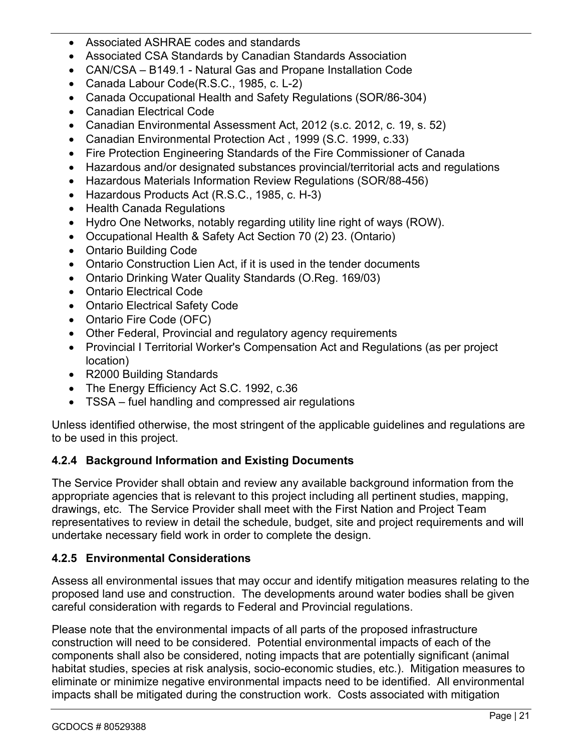- Associated ASHRAE codes and standards
- Associated CSA Standards by Canadian Standards Association
- CAN/CSA B149.1 Natural Gas and Propane Installation Code
- Canada Labour Code(R.S.C., 1985, c. L-2)
- Canada Occupational Health and Safety Regulations (SOR/86-304)
- Canadian Electrical Code
- Canadian Environmental Assessment Act, 2012 (s.c. 2012, c. 19, s. 52)
- Canadian Environmental Protection Act , 1999 (S.C. 1999, c.33)
- Fire Protection Engineering Standards of the Fire Commissioner of Canada
- Hazardous and/or designated substances provincial/territorial acts and regulations
- Hazardous Materials Information Review Regulations (SOR/88-456)
- Hazardous Products Act (R.S.C., 1985, c. H-3)
- Health Canada Regulations
- Hydro One Networks, notably regarding utility line right of ways (ROW).
- Occupational Health & Safety Act Section 70 (2) 23. (Ontario)
- Ontario Building Code
- Ontario Construction Lien Act, if it is used in the tender documents
- Ontario Drinking Water Quality Standards (O.Reg. 169/03)
- Ontario Electrical Code
- Ontario Electrical Safety Code
- Ontario Fire Code (OFC)
- Other Federal, Provincial and regulatory agency requirements
- Provincial I Territorial Worker's Compensation Act and Regulations (as per project location)
- R2000 Building Standards
- The Energy Efficiency Act S.C. 1992, c.36
- TSSA fuel handling and compressed air regulations

Unless identified otherwise, the most stringent of the applicable guidelines and regulations are to be used in this project.

### **4.2.4 Background Information and Existing Documents**

The Service Provider shall obtain and review any available background information from the appropriate agencies that is relevant to this project including all pertinent studies, mapping, drawings, etc. The Service Provider shall meet with the First Nation and Project Team representatives to review in detail the schedule, budget, site and project requirements and will undertake necessary field work in order to complete the design.

### **4.2.5 Environmental Considerations**

Assess all environmental issues that may occur and identify mitigation measures relating to the proposed land use and construction. The developments around water bodies shall be given careful consideration with regards to Federal and Provincial regulations.

Please note that the environmental impacts of all parts of the proposed infrastructure construction will need to be considered. Potential environmental impacts of each of the components shall also be considered, noting impacts that are potentially significant (animal habitat studies, species at risk analysis, socio-economic studies, etc.). Mitigation measures to eliminate or minimize negative environmental impacts need to be identified. All environmental impacts shall be mitigated during the construction work. Costs associated with mitigation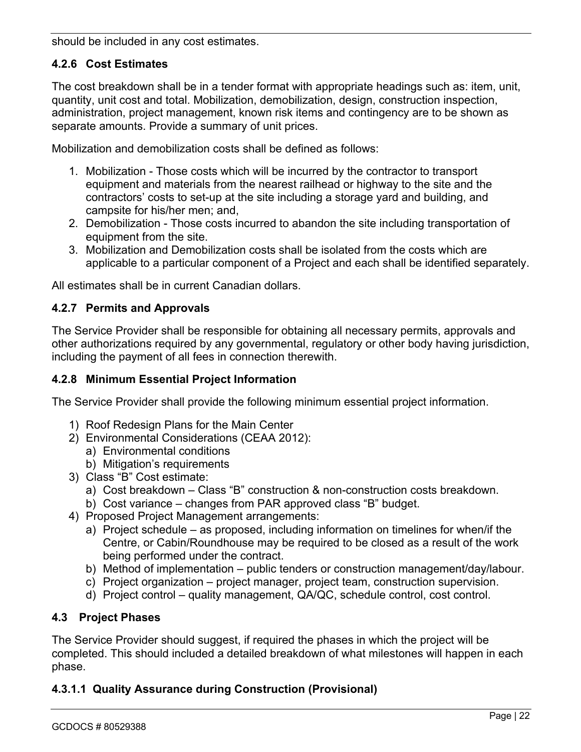should be included in any cost estimates.

# **4.2.6 Cost Estimates**

The cost breakdown shall be in a tender format with appropriate headings such as: item, unit, quantity, unit cost and total. Mobilization, demobilization, design, construction inspection, administration, project management, known risk items and contingency are to be shown as separate amounts. Provide a summary of unit prices.

Mobilization and demobilization costs shall be defined as follows:

- 1. Mobilization Those costs which will be incurred by the contractor to transport equipment and materials from the nearest railhead or highway to the site and the contractors' costs to set-up at the site including a storage yard and building, and campsite for his/her men; and,
- 2. Demobilization Those costs incurred to abandon the site including transportation of equipment from the site.
- 3. Mobilization and Demobilization costs shall be isolated from the costs which are applicable to a particular component of a Project and each shall be identified separately.

All estimates shall be in current Canadian dollars.

# **4.2.7 Permits and Approvals**

The Service Provider shall be responsible for obtaining all necessary permits, approvals and other authorizations required by any governmental, regulatory or other body having jurisdiction, including the payment of all fees in connection therewith.

#### **4.2.8 Minimum Essential Project Information**

The Service Provider shall provide the following minimum essential project information.

- 1) Roof Redesign Plans for the Main Center
- 2) Environmental Considerations (CEAA 2012):
	- a) Environmental conditions
	- b) Mitigation's requirements
- 3) Class "B" Cost estimate:
	- a) Cost breakdown Class "B" construction & non-construction costs breakdown.
	- b) Cost variance changes from PAR approved class "B" budget.
- 4) Proposed Project Management arrangements:
	- a) Project schedule as proposed, including information on timelines for when/if the Centre, or Cabin/Roundhouse may be required to be closed as a result of the work being performed under the contract.
	- b) Method of implementation public tenders or construction management/day/labour.
	- c) Project organization project manager, project team, construction supervision.
	- d) Project control quality management, QA/QC, schedule control, cost control.

### **4.3 Project Phases**

The Service Provider should suggest, if required the phases in which the project will be completed. This should included a detailed breakdown of what milestones will happen in each phase.

### **4.3.1.1 Quality Assurance during Construction (Provisional)**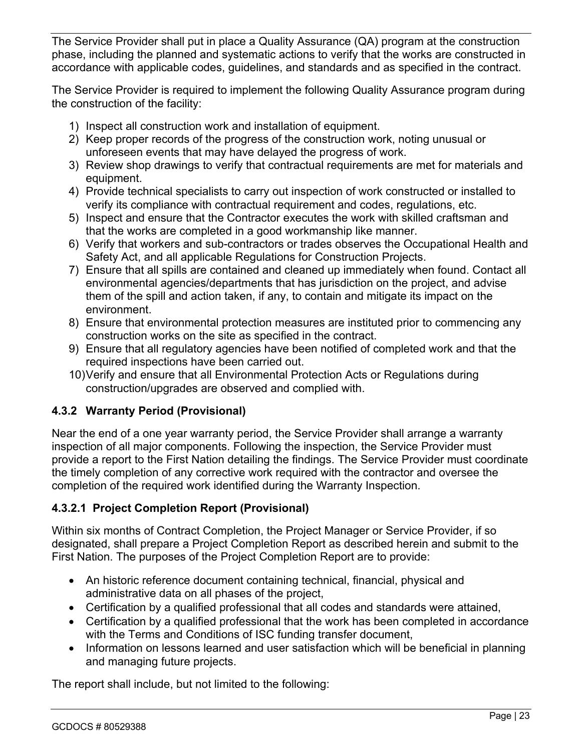The Service Provider shall put in place a Quality Assurance (QA) program at the construction phase, including the planned and systematic actions to verify that the works are constructed in accordance with applicable codes, guidelines, and standards and as specified in the contract.

The Service Provider is required to implement the following Quality Assurance program during the construction of the facility:

- 1) Inspect all construction work and installation of equipment.
- 2) Keep proper records of the progress of the construction work, noting unusual or unforeseen events that may have delayed the progress of work.
- 3) Review shop drawings to verify that contractual requirements are met for materials and equipment.
- 4) Provide technical specialists to carry out inspection of work constructed or installed to verify its compliance with contractual requirement and codes, regulations, etc.
- 5) Inspect and ensure that the Contractor executes the work with skilled craftsman and that the works are completed in a good workmanship like manner.
- 6) Verify that workers and sub-contractors or trades observes the Occupational Health and Safety Act, and all applicable Regulations for Construction Projects.
- 7) Ensure that all spills are contained and cleaned up immediately when found. Contact all environmental agencies/departments that has jurisdiction on the project, and advise them of the spill and action taken, if any, to contain and mitigate its impact on the environment.
- 8) Ensure that environmental protection measures are instituted prior to commencing any construction works on the site as specified in the contract.
- 9) Ensure that all regulatory agencies have been notified of completed work and that the required inspections have been carried out.
- 10)Verify and ensure that all Environmental Protection Acts or Regulations during construction/upgrades are observed and complied with.

# **4.3.2 Warranty Period (Provisional)**

Near the end of a one year warranty period, the Service Provider shall arrange a warranty inspection of all major components. Following the inspection, the Service Provider must provide a report to the First Nation detailing the findings. The Service Provider must coordinate the timely completion of any corrective work required with the contractor and oversee the completion of the required work identified during the Warranty Inspection.

# **4.3.2.1 Project Completion Report (Provisional)**

Within six months of Contract Completion, the Project Manager or Service Provider, if so designated, shall prepare a Project Completion Report as described herein and submit to the First Nation. The purposes of the Project Completion Report are to provide:

- An historic reference document containing technical, financial, physical and administrative data on all phases of the project,
- Certification by a qualified professional that all codes and standards were attained,
- Certification by a qualified professional that the work has been completed in accordance with the Terms and Conditions of ISC funding transfer document,
- Information on lessons learned and user satisfaction which will be beneficial in planning and managing future projects.

The report shall include, but not limited to the following: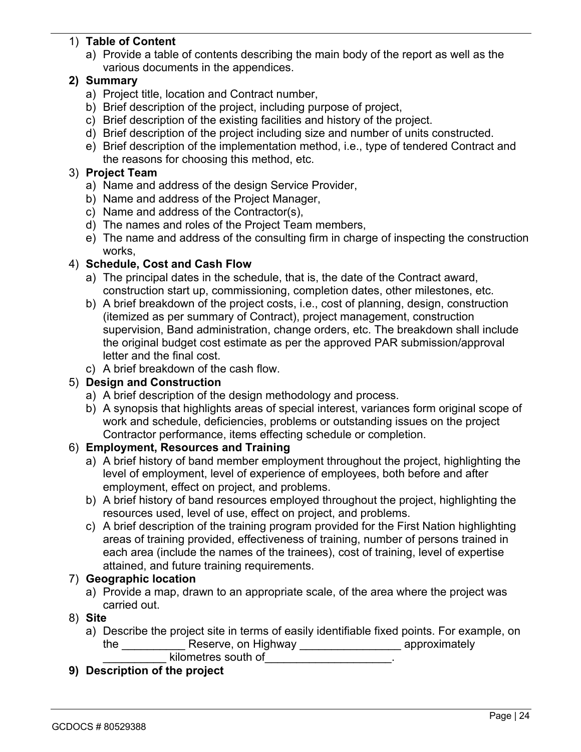## 1) **Table of Content**

a) Provide a table of contents describing the main body of the report as well as the various documents in the appendices.

# **2) Summary**

- a) Project title, location and Contract number,
- b) Brief description of the project, including purpose of project,
- c) Brief description of the existing facilities and history of the project.
- d) Brief description of the project including size and number of units constructed.
- e) Brief description of the implementation method, i.e., type of tendered Contract and the reasons for choosing this method, etc.

### 3) **Project Team**

- a) Name and address of the design Service Provider,
- b) Name and address of the Project Manager,
- c) Name and address of the Contractor(s),
- d) The names and roles of the Project Team members,
- e) The name and address of the consulting firm in charge of inspecting the construction works,

# 4) **Schedule, Cost and Cash Flow**

- a) The principal dates in the schedule, that is, the date of the Contract award, construction start up, commissioning, completion dates, other milestones, etc.
- b) A brief breakdown of the project costs, i.e., cost of planning, design, construction (itemized as per summary of Contract), project management, construction supervision, Band administration, change orders, etc. The breakdown shall include the original budget cost estimate as per the approved PAR submission/approval letter and the final cost.
- c) A brief breakdown of the cash flow.

# 5) **Design and Construction**

- a) A brief description of the design methodology and process.
- b) A synopsis that highlights areas of special interest, variances form original scope of work and schedule, deficiencies, problems or outstanding issues on the project Contractor performance, items effecting schedule or completion.

# 6) **Employment, Resources and Training**

- a) A brief history of band member employment throughout the project, highlighting the level of employment, level of experience of employees, both before and after employment, effect on project, and problems.
- b) A brief history of band resources employed throughout the project, highlighting the resources used, level of use, effect on project, and problems.
- c) A brief description of the training program provided for the First Nation highlighting areas of training provided, effectiveness of training, number of persons trained in each area (include the names of the trainees), cost of training, level of expertise attained, and future training requirements.

### 7) **Geographic location**

a) Provide a map, drawn to an appropriate scale, of the area where the project was carried out.

### 8) **Site**

a) Describe the project site in terms of easily identifiable fixed points. For example, on the \_\_\_\_\_\_\_\_\_\_\_\_\_ Reserve, on Highway \_\_\_\_\_\_\_\_\_\_\_\_\_\_\_\_\_\_\_\_\_ approximately

\_\_\_\_\_\_\_\_\_\_ kilometres south of\_\_\_\_\_\_\_\_\_\_\_\_\_\_\_\_\_\_\_\_.

**9) Description of the project**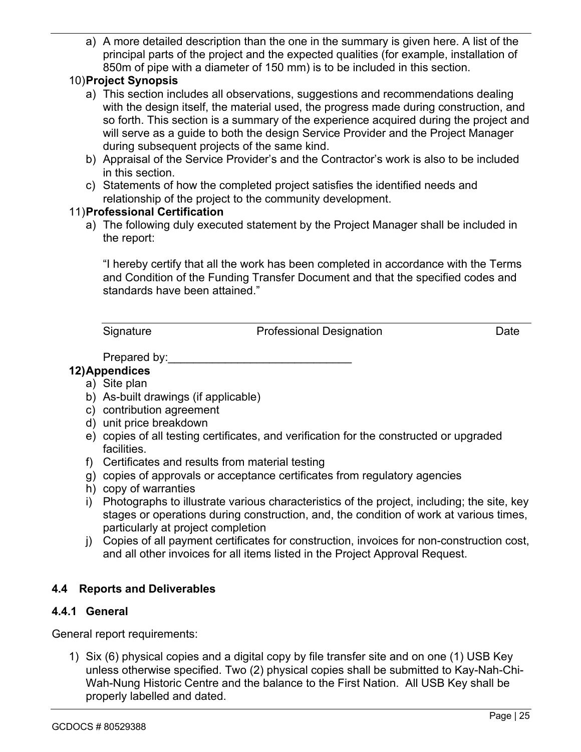a) A more detailed description than the one in the summary is given here. A list of the principal parts of the project and the expected qualities (for example, installation of 850m of pipe with a diameter of 150 mm) is to be included in this section.

## 10)**Project Synopsis**

- a) This section includes all observations, suggestions and recommendations dealing with the design itself, the material used, the progress made during construction, and so forth. This section is a summary of the experience acquired during the project and will serve as a guide to both the design Service Provider and the Project Manager during subsequent projects of the same kind.
- b) Appraisal of the Service Provider's and the Contractor's work is also to be included in this section.
- c) Statements of how the completed project satisfies the identified needs and relationship of the project to the community development.

#### 11)**Professional Certification**

a) The following duly executed statement by the Project Manager shall be included in the report:

"I hereby certify that all the work has been completed in accordance with the Terms and Condition of the Funding Transfer Document and that the specified codes and standards have been attained."

Signature **Professional Designation** Date

Prepared by:

### **12)Appendices**

- a) Site plan
- b) As-built drawings (if applicable)
- c) contribution agreement
- d) unit price breakdown
- e) copies of all testing certificates, and verification for the constructed or upgraded facilities.
- f) Certificates and results from material testing
- g) copies of approvals or acceptance certificates from regulatory agencies
- h) copy of warranties
- i) Photographs to illustrate various characteristics of the project, including; the site, key stages or operations during construction, and, the condition of work at various times, particularly at project completion
- j) Copies of all payment certificates for construction, invoices for non-construction cost, and all other invoices for all items listed in the Project Approval Request.

### **4.4 Reports and Deliverables**

### **4.4.1 General**

General report requirements:

1) Six (6) physical copies and a digital copy by file transfer site and on one (1) USB Key unless otherwise specified. Two (2) physical copies shall be submitted to Kay-Nah-Chi-Wah-Nung Historic Centre and the balance to the First Nation. All USB Key shall be properly labelled and dated.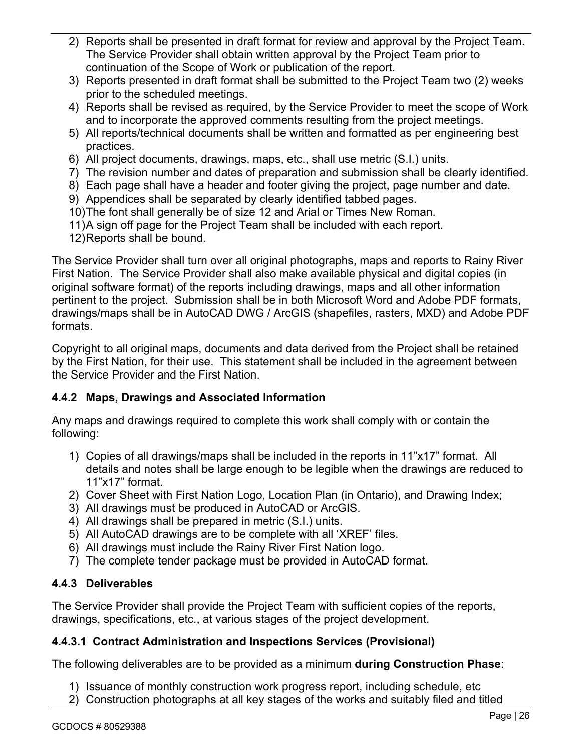- 2) Reports shall be presented in draft format for review and approval by the Project Team. The Service Provider shall obtain written approval by the Project Team prior to continuation of the Scope of Work or publication of the report.
- 3) Reports presented in draft format shall be submitted to the Project Team two (2) weeks prior to the scheduled meetings.
- 4) Reports shall be revised as required, by the Service Provider to meet the scope of Work and to incorporate the approved comments resulting from the project meetings.
- 5) All reports/technical documents shall be written and formatted as per engineering best practices.
- 6) All project documents, drawings, maps, etc., shall use metric (S.I.) units.
- 7) The revision number and dates of preparation and submission shall be clearly identified.
- 8) Each page shall have a header and footer giving the project, page number and date.
- 9) Appendices shall be separated by clearly identified tabbed pages.
- 10)The font shall generally be of size 12 and Arial or Times New Roman.
- 11)A sign off page for the Project Team shall be included with each report.
- 12)Reports shall be bound.

The Service Provider shall turn over all original photographs, maps and reports to Rainy River First Nation. The Service Provider shall also make available physical and digital copies (in original software format) of the reports including drawings, maps and all other information pertinent to the project. Submission shall be in both Microsoft Word and Adobe PDF formats, drawings/maps shall be in AutoCAD DWG / ArcGIS (shapefiles, rasters, MXD) and Adobe PDF formats.

Copyright to all original maps, documents and data derived from the Project shall be retained by the First Nation, for their use. This statement shall be included in the agreement between the Service Provider and the First Nation.

### **4.4.2 Maps, Drawings and Associated Information**

Any maps and drawings required to complete this work shall comply with or contain the following:

- 1) Copies of all drawings/maps shall be included in the reports in 11"x17" format. All details and notes shall be large enough to be legible when the drawings are reduced to 11"x17" format.
- 2) Cover Sheet with First Nation Logo, Location Plan (in Ontario), and Drawing Index;
- 3) All drawings must be produced in AutoCAD or ArcGIS.
- 4) All drawings shall be prepared in metric (S.I.) units.
- 5) All AutoCAD drawings are to be complete with all 'XREF' files.
- 6) All drawings must include the Rainy River First Nation logo.
- 7) The complete tender package must be provided in AutoCAD format.

# **4.4.3 Deliverables**

The Service Provider shall provide the Project Team with sufficient copies of the reports, drawings, specifications, etc., at various stages of the project development.

### **4.4.3.1 Contract Administration and Inspections Services (Provisional)**

The following deliverables are to be provided as a minimum **during Construction Phase**:

- 1) Issuance of monthly construction work progress report, including schedule, etc
- 2) Construction photographs at all key stages of the works and suitably filed and titled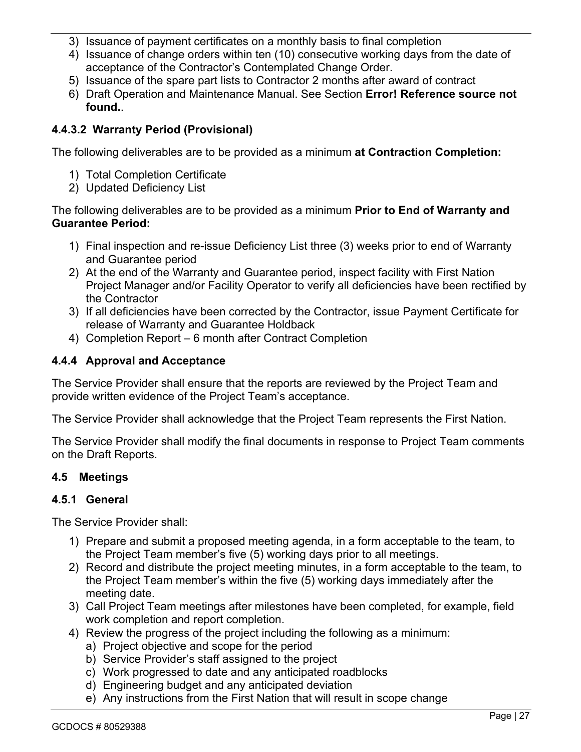- 3) Issuance of payment certificates on a monthly basis to final completion
- 4) Issuance of change orders within ten (10) consecutive working days from the date of acceptance of the Contractor's Contemplated Change Order.
- 5) Issuance of the spare part lists to Contractor 2 months after award of contract
- 6) Draft Operation and Maintenance Manual. See Section **Error! Reference source not found.**.

### **4.4.3.2 Warranty Period (Provisional)**

The following deliverables are to be provided as a minimum **at Contraction Completion:**

- 1) Total Completion Certificate
- 2) Updated Deficiency List

The following deliverables are to be provided as a minimum **Prior to End of Warranty and Guarantee Period:**

- 1) Final inspection and re-issue Deficiency List three (3) weeks prior to end of Warranty and Guarantee period
- 2) At the end of the Warranty and Guarantee period, inspect facility with First Nation Project Manager and/or Facility Operator to verify all deficiencies have been rectified by the Contractor
- 3) If all deficiencies have been corrected by the Contractor, issue Payment Certificate for release of Warranty and Guarantee Holdback
- 4) Completion Report 6 month after Contract Completion

#### **4.4.4 Approval and Acceptance**

The Service Provider shall ensure that the reports are reviewed by the Project Team and provide written evidence of the Project Team's acceptance.

The Service Provider shall acknowledge that the Project Team represents the First Nation.

The Service Provider shall modify the final documents in response to Project Team comments on the Draft Reports.

### **4.5 Meetings**

#### **4.5.1 General**

The Service Provider shall:

- 1) Prepare and submit a proposed meeting agenda, in a form acceptable to the team, to the Project Team member's five (5) working days prior to all meetings.
- 2) Record and distribute the project meeting minutes, in a form acceptable to the team, to the Project Team member's within the five (5) working days immediately after the meeting date.
- 3) Call Project Team meetings after milestones have been completed, for example, field work completion and report completion.
- 4) Review the progress of the project including the following as a minimum:
	- a) Project objective and scope for the period
	- b) Service Provider's staff assigned to the project
	- c) Work progressed to date and any anticipated roadblocks
	- d) Engineering budget and any anticipated deviation
	- e) Any instructions from the First Nation that will result in scope change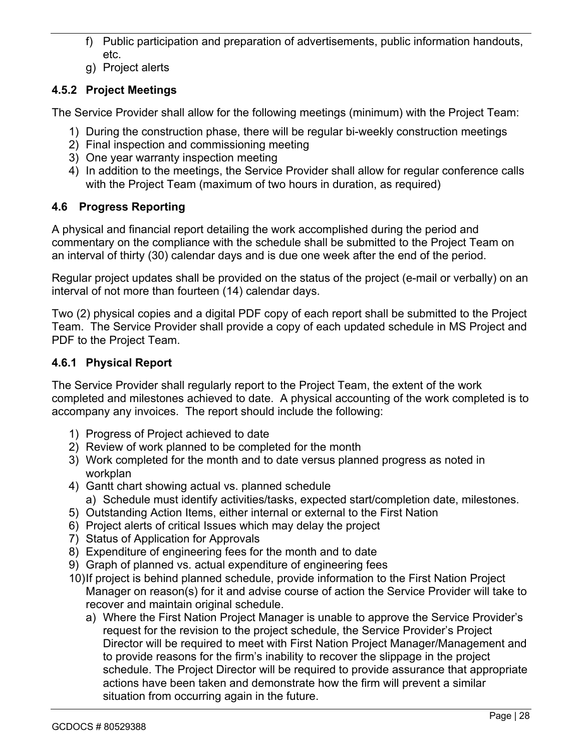- f) Public participation and preparation of advertisements, public information handouts, etc.
- g) Project alerts

# **4.5.2 Project Meetings**

The Service Provider shall allow for the following meetings (minimum) with the Project Team:

- 1) During the construction phase, there will be regular bi-weekly construction meetings
- 2) Final inspection and commissioning meeting
- 3) One year warranty inspection meeting
- 4) In addition to the meetings, the Service Provider shall allow for regular conference calls with the Project Team (maximum of two hours in duration, as required)

# **4.6 Progress Reporting**

A physical and financial report detailing the work accomplished during the period and commentary on the compliance with the schedule shall be submitted to the Project Team on an interval of thirty (30) calendar days and is due one week after the end of the period.

Regular project updates shall be provided on the status of the project (e-mail or verbally) on an interval of not more than fourteen (14) calendar days.

Two (2) physical copies and a digital PDF copy of each report shall be submitted to the Project Team. The Service Provider shall provide a copy of each updated schedule in MS Project and PDF to the Project Team.

# **4.6.1 Physical Report**

The Service Provider shall regularly report to the Project Team, the extent of the work completed and milestones achieved to date. A physical accounting of the work completed is to accompany any invoices. The report should include the following:

- 1) Progress of Project achieved to date
- 2) Review of work planned to be completed for the month
- 3) Work completed for the month and to date versus planned progress as noted in workplan
- 4) Gantt chart showing actual vs. planned schedule a) Schedule must identify activities/tasks, expected start/completion date, milestones.
- 5) Outstanding Action Items, either internal or external to the First Nation
- 6) Project alerts of critical Issues which may delay the project
- 7) Status of Application for Approvals
- 8) Expenditure of engineering fees for the month and to date
- 9) Graph of planned vs. actual expenditure of engineering fees
- 10)If project is behind planned schedule, provide information to the First Nation Project Manager on reason(s) for it and advise course of action the Service Provider will take to recover and maintain original schedule.
	- a) Where the First Nation Project Manager is unable to approve the Service Provider's request for the revision to the project schedule, the Service Provider's Project Director will be required to meet with First Nation Project Manager/Management and to provide reasons for the firm's inability to recover the slippage in the project schedule. The Project Director will be required to provide assurance that appropriate actions have been taken and demonstrate how the firm will prevent a similar situation from occurring again in the future.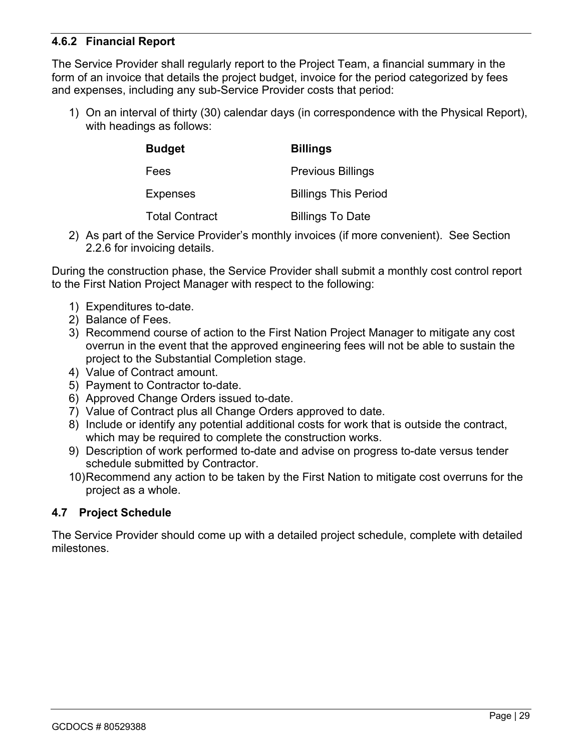### **4.6.2 Financial Report**

The Service Provider shall regularly report to the Project Team, a financial summary in the form of an invoice that details the project budget, invoice for the period categorized by fees and expenses, including any sub-Service Provider costs that period:

1) On an interval of thirty (30) calendar days (in correspondence with the Physical Report), with headings as follows:

| <b>Budget</b>         | <b>Billings</b>             |  |  |
|-----------------------|-----------------------------|--|--|
| Fees                  | <b>Previous Billings</b>    |  |  |
| Expenses              | <b>Billings This Period</b> |  |  |
| <b>Total Contract</b> | <b>Billings To Date</b>     |  |  |

2) As part of the Service Provider's monthly invoices (if more convenient). See Section 2.2.6 for invoicing details.

During the construction phase, the Service Provider shall submit a monthly cost control report to the First Nation Project Manager with respect to the following:

- 1) Expenditures to-date.
- 2) Balance of Fees.
- 3) Recommend course of action to the First Nation Project Manager to mitigate any cost overrun in the event that the approved engineering fees will not be able to sustain the project to the Substantial Completion stage.
- 4) Value of Contract amount.
- 5) Payment to Contractor to-date.
- 6) Approved Change Orders issued to-date.
- 7) Value of Contract plus all Change Orders approved to date.
- 8) Include or identify any potential additional costs for work that is outside the contract, which may be required to complete the construction works.
- 9) Description of work performed to-date and advise on progress to-date versus tender schedule submitted by Contractor.
- 10)Recommend any action to be taken by the First Nation to mitigate cost overruns for the project as a whole.

### **4.7 Project Schedule**

The Service Provider should come up with a detailed project schedule, complete with detailed milestones.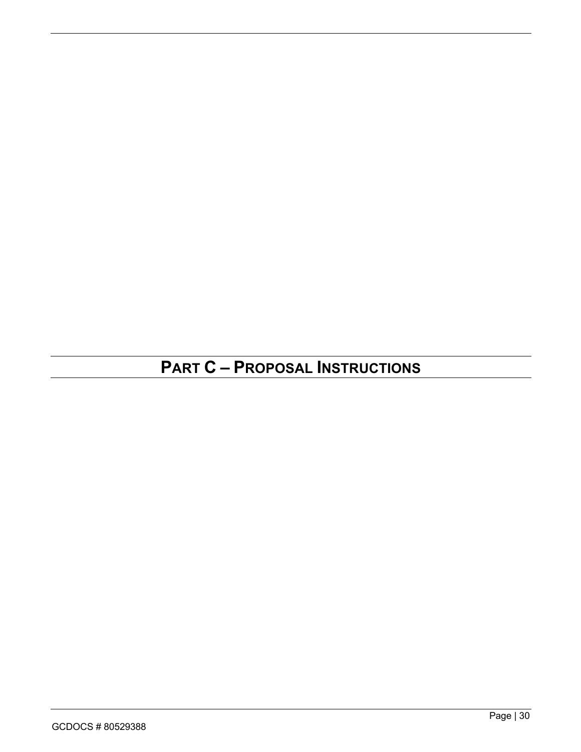# **PART C – PROPOSAL INSTRUCTIONS**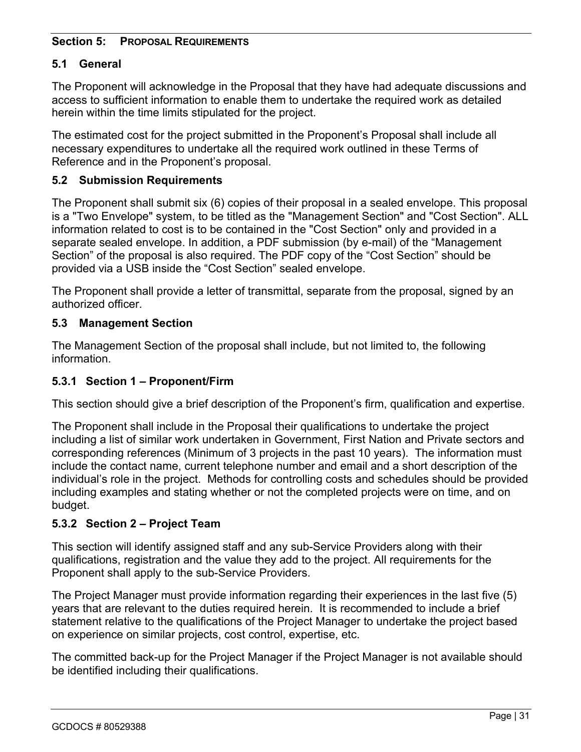#### **Section 5: PROPOSAL REQUIREMENTS**

### **5.1 General**

The Proponent will acknowledge in the Proposal that they have had adequate discussions and access to sufficient information to enable them to undertake the required work as detailed herein within the time limits stipulated for the project.

The estimated cost for the project submitted in the Proponent's Proposal shall include all necessary expenditures to undertake all the required work outlined in these Terms of Reference and in the Proponent's proposal.

### **5.2 Submission Requirements**

The Proponent shall submit six (6) copies of their proposal in a sealed envelope. This proposal is a "Two Envelope" system, to be titled as the "Management Section" and "Cost Section". ALL information related to cost is to be contained in the "Cost Section" only and provided in a separate sealed envelope. In addition, a PDF submission (by e-mail) of the "Management Section" of the proposal is also required. The PDF copy of the "Cost Section" should be provided via a USB inside the "Cost Section" sealed envelope.

The Proponent shall provide a letter of transmittal, separate from the proposal, signed by an authorized officer.

#### **5.3 Management Section**

The Management Section of the proposal shall include, but not limited to, the following information.

### **5.3.1 Section 1 – Proponent/Firm**

This section should give a brief description of the Proponent's firm, qualification and expertise.

The Proponent shall include in the Proposal their qualifications to undertake the project including a list of similar work undertaken in Government, First Nation and Private sectors and corresponding references (Minimum of 3 projects in the past 10 years). The information must include the contact name, current telephone number and email and a short description of the individual's role in the project. Methods for controlling costs and schedules should be provided including examples and stating whether or not the completed projects were on time, and on budget.

### **5.3.2 Section 2 – Project Team**

This section will identify assigned staff and any sub-Service Providers along with their qualifications, registration and the value they add to the project. All requirements for the Proponent shall apply to the sub-Service Providers.

The Project Manager must provide information regarding their experiences in the last five (5) years that are relevant to the duties required herein. It is recommended to include a brief statement relative to the qualifications of the Project Manager to undertake the project based on experience on similar projects, cost control, expertise, etc.

The committed back-up for the Project Manager if the Project Manager is not available should be identified including their qualifications.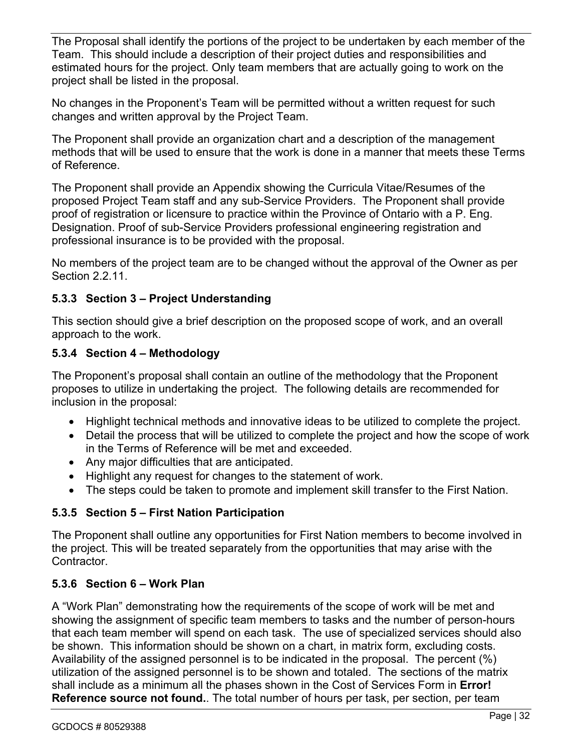The Proposal shall identify the portions of the project to be undertaken by each member of the Team. This should include a description of their project duties and responsibilities and estimated hours for the project. Only team members that are actually going to work on the project shall be listed in the proposal.

No changes in the Proponent's Team will be permitted without a written request for such changes and written approval by the Project Team.

The Proponent shall provide an organization chart and a description of the management methods that will be used to ensure that the work is done in a manner that meets these Terms of Reference.

The Proponent shall provide an Appendix showing the Curricula Vitae/Resumes of the proposed Project Team staff and any sub-Service Providers. The Proponent shall provide proof of registration or licensure to practice within the Province of Ontario with a P. Eng. Designation. Proof of sub-Service Providers professional engineering registration and professional insurance is to be provided with the proposal.

No members of the project team are to be changed without the approval of the Owner as per Section 2.2.11.

### **5.3.3 Section 3 – Project Understanding**

This section should give a brief description on the proposed scope of work, and an overall approach to the work.

# **5.3.4 Section 4 – Methodology**

The Proponent's proposal shall contain an outline of the methodology that the Proponent proposes to utilize in undertaking the project. The following details are recommended for inclusion in the proposal:

- Highlight technical methods and innovative ideas to be utilized to complete the project.
- Detail the process that will be utilized to complete the project and how the scope of work in the Terms of Reference will be met and exceeded.
- Any major difficulties that are anticipated.
- Highlight any request for changes to the statement of work.
- The steps could be taken to promote and implement skill transfer to the First Nation.

# **5.3.5 Section 5 – First Nation Participation**

The Proponent shall outline any opportunities for First Nation members to become involved in the project. This will be treated separately from the opportunities that may arise with the Contractor.

# **5.3.6 Section 6 – Work Plan**

A "Work Plan" demonstrating how the requirements of the scope of work will be met and showing the assignment of specific team members to tasks and the number of person-hours that each team member will spend on each task. The use of specialized services should also be shown. This information should be shown on a chart, in matrix form, excluding costs. Availability of the assigned personnel is to be indicated in the proposal. The percent (%) utilization of the assigned personnel is to be shown and totaled. The sections of the matrix shall include as a minimum all the phases shown in the Cost of Services Form in **Error! Reference source not found.**. The total number of hours per task, per section, per team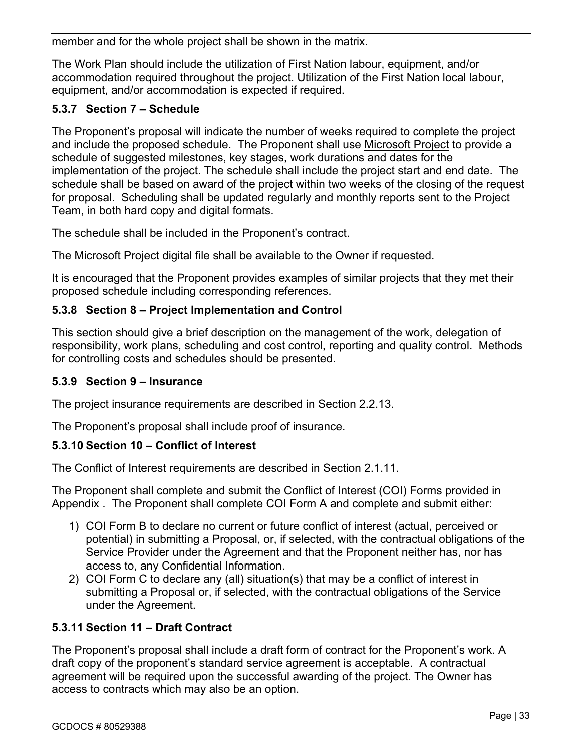member and for the whole project shall be shown in the matrix.

The Work Plan should include the utilization of First Nation labour, equipment, and/or accommodation required throughout the project. Utilization of the First Nation local labour, equipment, and/or accommodation is expected if required.

# **5.3.7 Section 7 – Schedule**

The Proponent's proposal will indicate the number of weeks required to complete the project and include the proposed schedule. The Proponent shall use Microsoft Project to provide a schedule of suggested milestones, key stages, work durations and dates for the implementation of the project. The schedule shall include the project start and end date. The schedule shall be based on award of the project within two weeks of the closing of the request for proposal. Scheduling shall be updated regularly and monthly reports sent to the Project Team, in both hard copy and digital formats.

The schedule shall be included in the Proponent's contract.

The Microsoft Project digital file shall be available to the Owner if requested.

It is encouraged that the Proponent provides examples of similar projects that they met their proposed schedule including corresponding references.

# **5.3.8 Section 8 – Project Implementation and Control**

This section should give a brief description on the management of the work, delegation of responsibility, work plans, scheduling and cost control, reporting and quality control. Methods for controlling costs and schedules should be presented.

### **5.3.9 Section 9 – Insurance**

The project insurance requirements are described in Section 2.2.13.

The Proponent's proposal shall include proof of insurance.

### **5.3.10 Section 10 – Conflict of Interest**

The Conflict of Interest requirements are described in Section 2.1.11.

The Proponent shall complete and submit the Conflict of Interest (COI) Forms provided in Appendix . The Proponent shall complete COI Form A and complete and submit either:

- 1) COI Form B to declare no current or future conflict of interest (actual, perceived or potential) in submitting a Proposal, or, if selected, with the contractual obligations of the Service Provider under the Agreement and that the Proponent neither has, nor has access to, any Confidential Information.
- 2) COI Form C to declare any (all) situation(s) that may be a conflict of interest in submitting a Proposal or, if selected, with the contractual obligations of the Service under the Agreement.

### **5.3.11 Section 11 – Draft Contract**

The Proponent's proposal shall include a draft form of contract for the Proponent's work. A draft copy of the proponent's standard service agreement is acceptable. A contractual agreement will be required upon the successful awarding of the project. The Owner has access to contracts which may also be an option.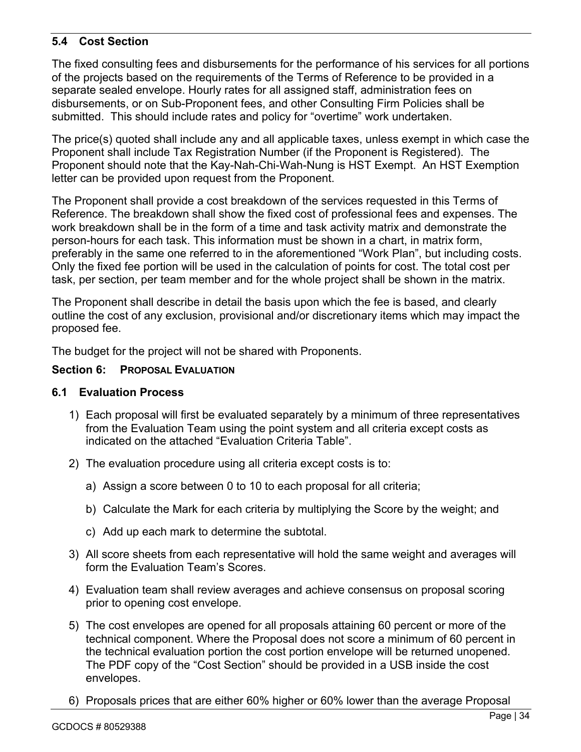## **5.4 Cost Section**

The fixed consulting fees and disbursements for the performance of his services for all portions of the projects based on the requirements of the Terms of Reference to be provided in a separate sealed envelope. Hourly rates for all assigned staff, administration fees on disbursements, or on Sub-Proponent fees, and other Consulting Firm Policies shall be submitted. This should include rates and policy for "overtime" work undertaken.

The price(s) quoted shall include any and all applicable taxes, unless exempt in which case the Proponent shall include Tax Registration Number (if the Proponent is Registered). The Proponent should note that the Kay-Nah-Chi-Wah-Nung is HST Exempt. An HST Exemption letter can be provided upon request from the Proponent.

The Proponent shall provide a cost breakdown of the services requested in this Terms of Reference. The breakdown shall show the fixed cost of professional fees and expenses. The work breakdown shall be in the form of a time and task activity matrix and demonstrate the person-hours for each task. This information must be shown in a chart, in matrix form, preferably in the same one referred to in the aforementioned "Work Plan", but including costs. Only the fixed fee portion will be used in the calculation of points for cost. The total cost per task, per section, per team member and for the whole project shall be shown in the matrix.

The Proponent shall describe in detail the basis upon which the fee is based, and clearly outline the cost of any exclusion, provisional and/or discretionary items which may impact the proposed fee.

The budget for the project will not be shared with Proponents.

#### **Section 6: PROPOSAL EVALUATION**

#### **6.1 Evaluation Process**

- 1) Each proposal will first be evaluated separately by a minimum of three representatives from the Evaluation Team using the point system and all criteria except costs as indicated on the attached "Evaluation Criteria Table".
- 2) The evaluation procedure using all criteria except costs is to:
	- a) Assign a score between 0 to 10 to each proposal for all criteria;
	- b) Calculate the Mark for each criteria by multiplying the Score by the weight; and
	- c) Add up each mark to determine the subtotal.
- 3) All score sheets from each representative will hold the same weight and averages will form the Evaluation Team's Scores.
- 4) Evaluation team shall review averages and achieve consensus on proposal scoring prior to opening cost envelope.
- 5) The cost envelopes are opened for all proposals attaining 60 percent or more of the technical component. Where the Proposal does not score a minimum of 60 percent in the technical evaluation portion the cost portion envelope will be returned unopened. The PDF copy of the "Cost Section" should be provided in a USB inside the cost envelopes.
- 6) Proposals prices that are either 60% higher or 60% lower than the average Proposal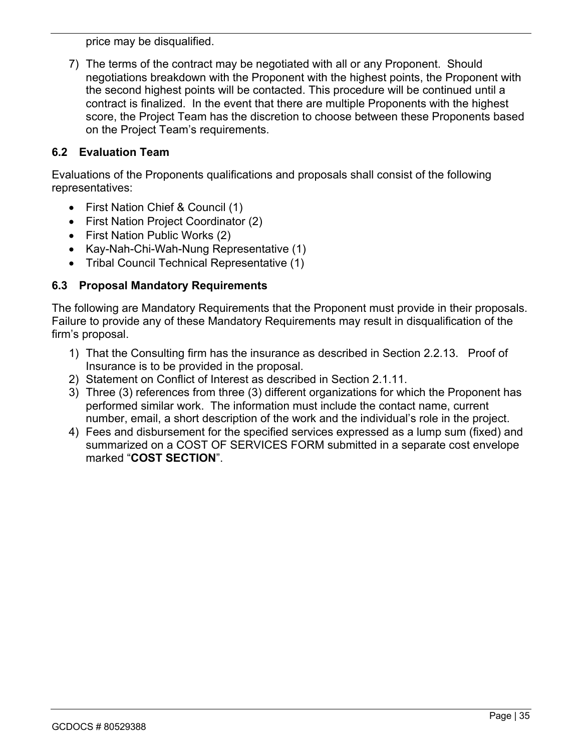price may be disqualified.

7) The terms of the contract may be negotiated with all or any Proponent. Should negotiations breakdown with the Proponent with the highest points, the Proponent with the second highest points will be contacted. This procedure will be continued until a contract is finalized. In the event that there are multiple Proponents with the highest score, the Project Team has the discretion to choose between these Proponents based on the Project Team's requirements.

#### **6.2 Evaluation Team**

Evaluations of the Proponents qualifications and proposals shall consist of the following representatives:

- First Nation Chief & Council (1)
- First Nation Project Coordinator (2)
- First Nation Public Works (2)
- Kay-Nah-Chi-Wah-Nung Representative (1)
- Tribal Council Technical Representative (1)

### **6.3 Proposal Mandatory Requirements**

The following are Mandatory Requirements that the Proponent must provide in their proposals. Failure to provide any of these Mandatory Requirements may result in disqualification of the firm's proposal.

- 1) That the Consulting firm has the insurance as described in Section 2.2.13. Proof of Insurance is to be provided in the proposal.
- 2) Statement on Conflict of Interest as described in Section 2.1.11.
- 3) Three (3) references from three (3) different organizations for which the Proponent has performed similar work. The information must include the contact name, current number, email, a short description of the work and the individual's role in the project.
- 4) Fees and disbursement for the specified services expressed as a lump sum (fixed) and summarized on a COST OF SERVICES FORM submitted in a separate cost envelope marked "**COST SECTION**".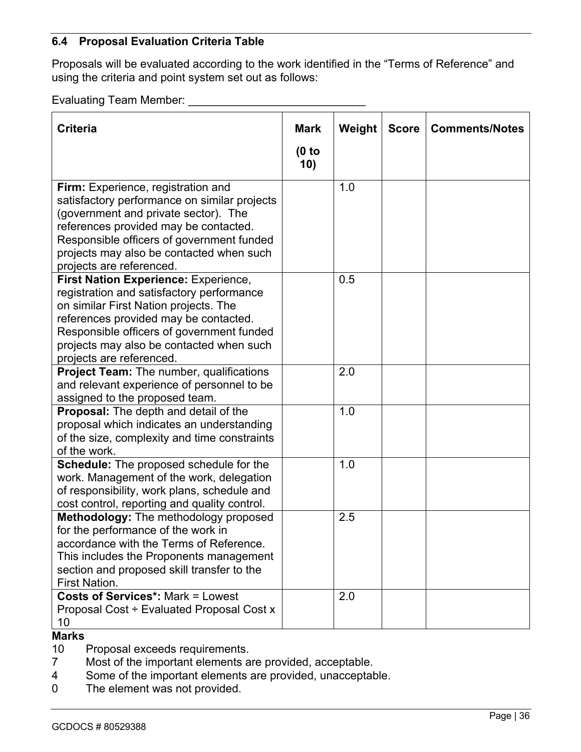#### **6.4 Proposal Evaluation Criteria Table**

Proposals will be evaluated according to the work identified in the "Terms of Reference" and using the criteria and point system set out as follows:

Evaluating Team Member: \_\_\_\_\_\_\_\_\_\_\_\_\_\_\_\_\_\_\_\_\_\_\_\_\_\_\_\_

| <b>Criteria</b>                                                                                                                                                                                                                                                                                 | <b>Mark</b>  | Weight | <b>Score</b> | <b>Comments/Notes</b> |
|-------------------------------------------------------------------------------------------------------------------------------------------------------------------------------------------------------------------------------------------------------------------------------------------------|--------------|--------|--------------|-----------------------|
|                                                                                                                                                                                                                                                                                                 | (0 to<br>10) |        |              |                       |
| Firm: Experience, registration and<br>satisfactory performance on similar projects<br>(government and private sector). The<br>references provided may be contacted.<br>Responsible officers of government funded<br>projects may also be contacted when such<br>projects are referenced.        |              | 1.0    |              |                       |
| <b>First Nation Experience: Experience,</b><br>registration and satisfactory performance<br>on similar First Nation projects. The<br>references provided may be contacted.<br>Responsible officers of government funded<br>projects may also be contacted when such<br>projects are referenced. |              | 0.5    |              |                       |
| Project Team: The number, qualifications<br>and relevant experience of personnel to be<br>assigned to the proposed team.                                                                                                                                                                        |              | 2.0    |              |                       |
| Proposal: The depth and detail of the<br>proposal which indicates an understanding<br>of the size, complexity and time constraints<br>of the work.                                                                                                                                              |              | 1.0    |              |                       |
| <b>Schedule:</b> The proposed schedule for the<br>work. Management of the work, delegation<br>of responsibility, work plans, schedule and<br>cost control, reporting and quality control.                                                                                                       |              | 1.0    |              |                       |
| Methodology: The methodology proposed<br>for the performance of the work in<br>accordance with the Terms of Reference.<br>This includes the Proponents management<br>section and proposed skill transfer to the<br><b>First Nation.</b>                                                         |              | 2.5    |              |                       |
| <b>Costs of Services*: Mark = Lowest</b><br>Proposal Cost ÷ Evaluated Proposal Cost x<br>10                                                                                                                                                                                                     |              | 2.0    |              |                       |

#### **Marks**

- 10 Proposal exceeds requirements.
- 7 Most of the important elements are provided, acceptable.
- 4 Some of the important elements are provided, unacceptable.
- 0 The element was not provided.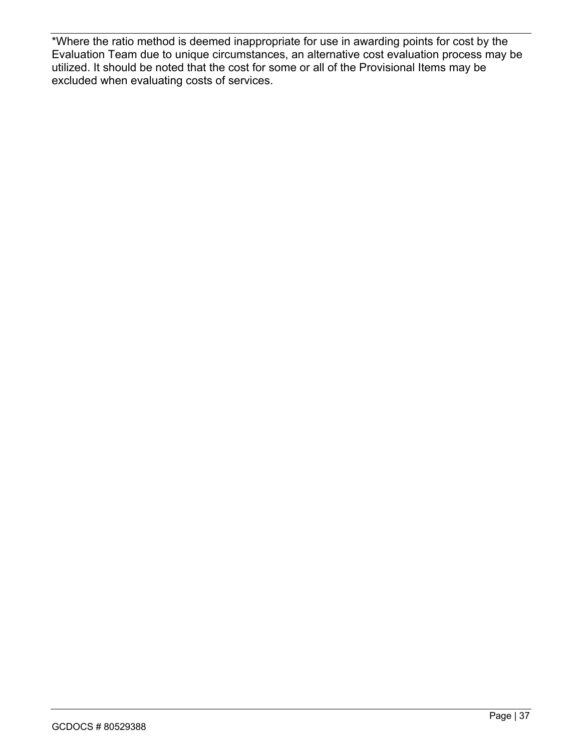\*Where the ratio method is deemed inappropriate for use in awarding points for cost by the Evaluation Team due to unique circumstances, an alternative cost evaluation process may be utilized. It should be noted that the cost for some or all of the Provisional Items may be excluded when evaluating costs of services.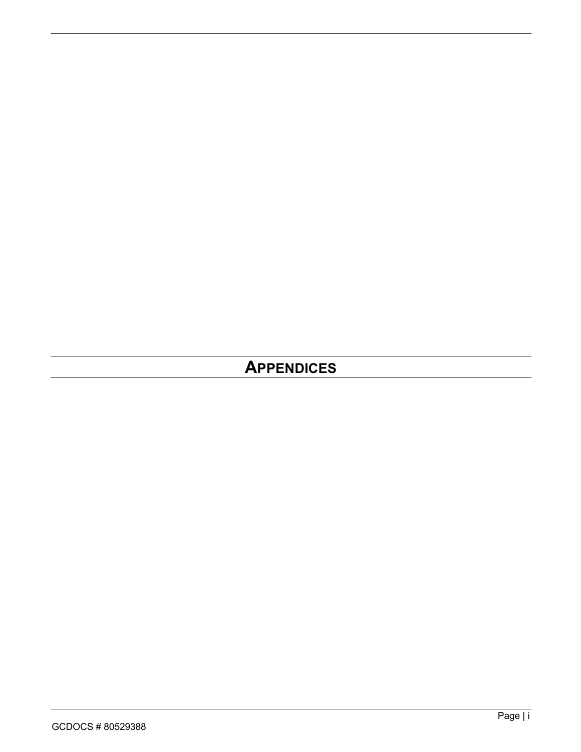# **APPENDICES**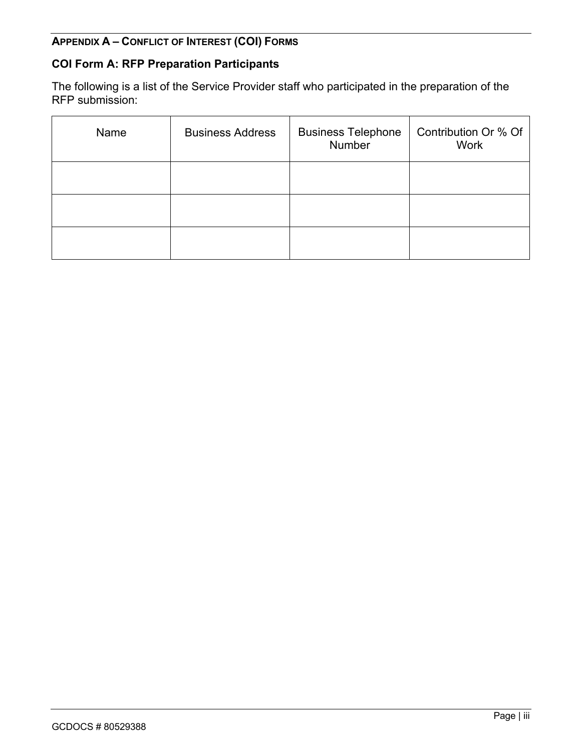## **APPENDIX A – CONFLICT OF INTEREST (COI) FORMS**

# **COI Form A: RFP Preparation Participants**

The following is a list of the Service Provider staff who participated in the preparation of the RFP submission:

| Name | <b>Business Address</b> | <b>Business Telephone</b><br>Number | Contribution Or % Of<br><b>Work</b> |
|------|-------------------------|-------------------------------------|-------------------------------------|
|      |                         |                                     |                                     |
|      |                         |                                     |                                     |
|      |                         |                                     |                                     |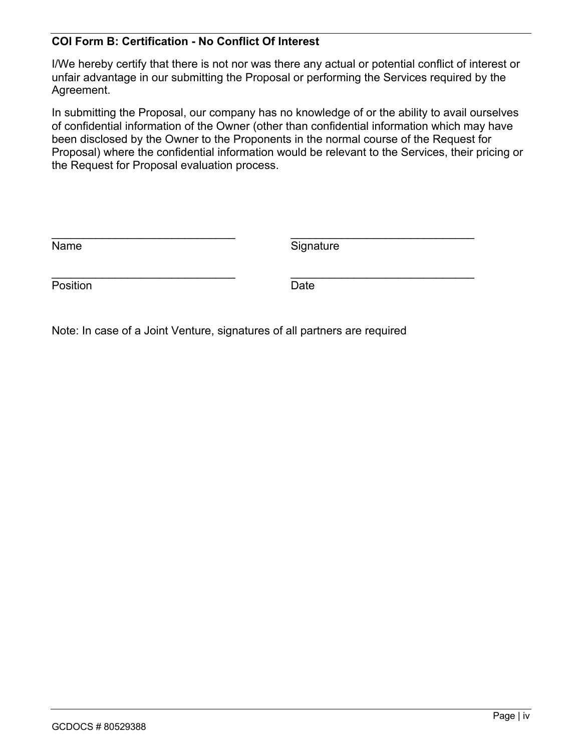#### **COI Form B: Certification - No Conflict Of Interest**

I/We hereby certify that there is not nor was there any actual or potential conflict of interest or unfair advantage in our submitting the Proposal or performing the Services required by the Agreement.

In submitting the Proposal, our company has no knowledge of or the ability to avail ourselves of confidential information of the Owner (other than confidential information which may have been disclosed by the Owner to the Proponents in the normal course of the Request for Proposal) where the confidential information would be relevant to the Services, their pricing or the Request for Proposal evaluation process.

| Name     | Signature |
|----------|-----------|
|          |           |
| Position | Date      |

Note: In case of a Joint Venture, signatures of all partners are required